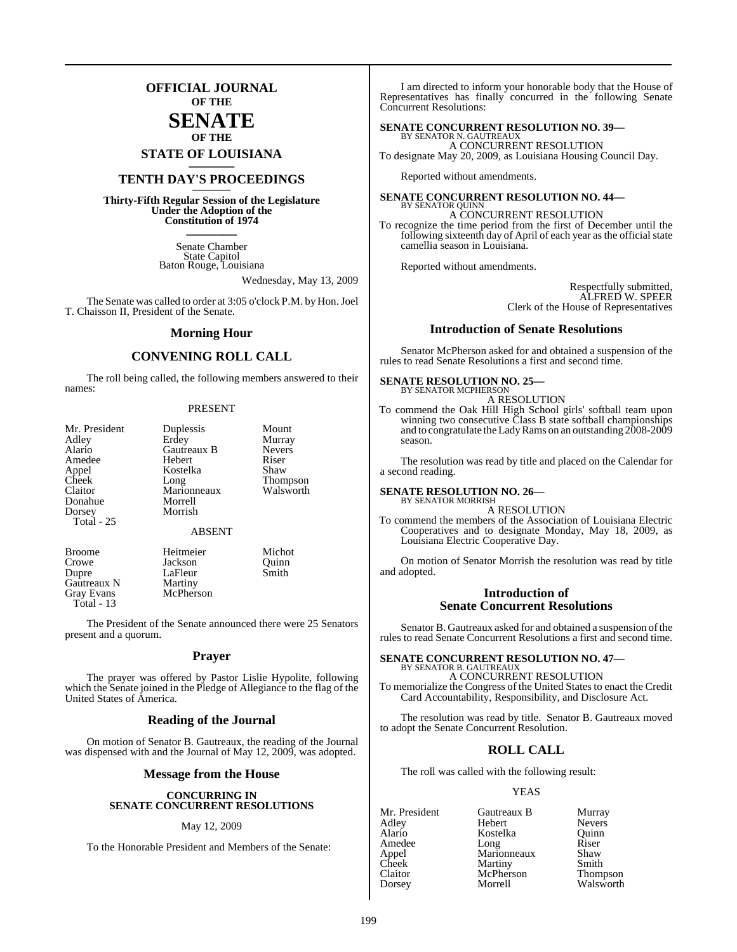### **OFFICIAL JOURNAL OF THE**

### **SENATE OF THE**

**STATE OF LOUISIANA \_\_\_\_\_\_\_**

### **TENTH DAY'S PROCEEDINGS \_\_\_\_\_\_\_**

**Thirty-Fifth Regular Session of the Legislature Under the Adoption of the Constitution of 1974 \_\_\_\_\_\_\_**

> Senate Chamber State Capitol Baton Rouge, Louisiana

> > Wednesday, May 13, 2009

The Senate was called to order at 3:05 o'clock P.M. by Hon. Joel T. Chaisson II, President of the Senate.

#### **Morning Hour**

### **CONVENING ROLL CALL**

The roll being called, the following members answered to their names:

#### PRESENT

| Mr. President<br>Adley<br>Alario<br>Amedee<br>Appel<br>Cheek<br>Claitor<br>Donahue<br>Dorsey | Duplessis<br>Erdey<br>Gautreaux B<br>Hebert<br>Kostelka<br>Long<br>Marionneaux<br>Morrell<br>Morrish | Mount<br>Murray<br><b>Nevers</b><br>Riser<br>Shaw<br><b>Thompson</b><br>Walsworth |
|----------------------------------------------------------------------------------------------|------------------------------------------------------------------------------------------------------|-----------------------------------------------------------------------------------|
| <b>Total</b> - 25                                                                            | <b>ABSENT</b>                                                                                        |                                                                                   |
| $D_{\rm room}$                                                                               | Haitmaigr                                                                                            | $M_{\rm inhot}$                                                                   |

Gautreaux N<br>Gray Evans Total - 13

Broome Heitmeier Michot<br>Crowe Tackson Ouinn Jackson Dupre LaFleur Smith<br>Gautreaux N Martiny McPherson

The President of the Senate announced there were 25 Senators present and a quorum.

#### **Prayer**

The prayer was offered by Pastor Lislie Hypolite, following which the Senate joined in the Pledge of Allegiance to the flag of the United States of America.

#### **Reading of the Journal**

On motion of Senator B. Gautreaux, the reading of the Journal was dispensed with and the Journal of May 12, 2009, was adopted.

#### **Message from the House**

#### **CONCURRING IN SENATE CONCURRENT RESOLUTIONS**

#### May 12, 2009

To the Honorable President and Members of the Senate:

I am directed to inform your honorable body that the House of Representatives has finally concurred in the following Senate Concurrent Resolutions:

### **SENATE CONCURRENT RESOLUTION NO. 39—**

BY SENATOR N. GAUTREAUX A CONCURRENT RESOLUTION To designate May 20, 2009, as Louisiana Housing Council Day.

Reported without amendments.

#### **SENATE CONCURRENT RESOLUTION NO. 44—**

BY SENATOR OUINN A CONCURRENT RESOLUTION To recognize the time period from the first of December until the following sixteenth day of April of each year as the official state camellia season in Louisiana.

Reported without amendments.

Respectfully submitted, ALFRED W. SPEER Clerk of the House of Representatives

#### **Introduction of Senate Resolutions**

Senator McPherson asked for and obtained a suspension of the rules to read Senate Resolutions a first and second time.

#### **SENATE RESOLUTION NO. 25—** BY SENATOR MCPHERSON

A RESOLUTION To commend the Oak Hill High School girls' softball team upon winning two consecutive Class B state softball championships and to congratulate theLadyRams on an outstanding 2008-2009 season.

The resolution was read by title and placed on the Calendar for a second reading.

#### **SENATE RESOLUTION NO. 26—** BY SENATOR MORRISH

A RESOLUTION

To commend the members of the Association of Louisiana Electric Cooperatives and to designate Monday, May 18, 2009, as Louisiana Electric Cooperative Day.

On motion of Senator Morrish the resolution was read by title and adopted.

#### **Introduction of Senate Concurrent Resolutions**

Senator B. Gautreaux asked for and obtained a suspension of the rules to read Senate Concurrent Resolutions a first and second time.

#### **SENATE CONCURRENT RESOLUTION NO. 47—** BY SENATOR B. GAUTREAUX

A CONCURRENT RESOLUTION To memorialize the Congress of the United States to enact the Credit Card Accountability, Responsibility, and Disclosure Act.

The resolution was read by title. Senator B. Gautreaux moved to adopt the Senate Concurrent Resolution.

### **ROLL CALL**

The roll was called with the following result:

#### YEAS

| Mr. President  | Gautreaux B | Murray        |
|----------------|-------------|---------------|
| Adley          | Hebert      | <b>Nevers</b> |
| Alario         | Kostelka    | Ouinn         |
| Amedee         | Long        | Riser         |
|                | Marionneaux | Shaw          |
| Appel<br>Cheek | Martiny     | Smith         |
| Claitor        | McPherson   | Thompson      |
| Dorsey         | Morrell     | Walsworth     |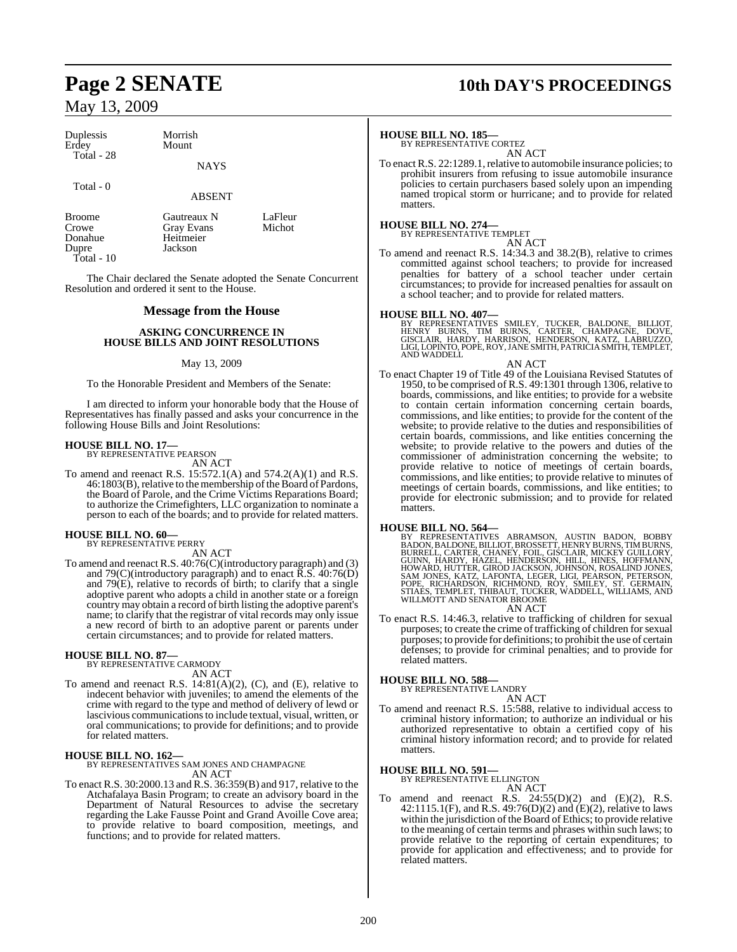| Duplessis  | Morrish     |
|------------|-------------|
| Erdev      | Mount       |
| Total - 28 |             |
|            | <b>NAYS</b> |

Total - 0

ABSENT

Broome Gautreaux N LaFleur<br>Crowe Gray Evans Michot Crowe Gray Evans<br>
Donahue Heitmeier Dupre Total - 10

The Chair declared the Senate adopted the Senate Concurrent Resolution and ordered it sent to the House.

Heitmeier<br>Jackson

#### **Message from the House**

#### **ASKING CONCURRENCE IN HOUSE BILLS AND JOINT RESOLUTIONS**

#### May 13, 2009

To the Honorable President and Members of the Senate:

I am directed to inform your honorable body that the House of Representatives has finally passed and asks your concurrence in the following House Bills and Joint Resolutions:

### **HOUSE BILL NO. 17—** BY REPRESENTATIVE PEARSON

AN ACT

To amend and reenact R.S. 15:572.1(A) and 574.2(A)(1) and R.S. 46:1803(B), relative to the membership of the Board of Pardons, the Board of Parole, and the Crime Victims Reparations Board; to authorize the Crimefighters, LLC organization to nominate a person to each of the boards; and to provide for related matters.

# **HOUSE BILL NO. 60—** BY REPRESENTATIVE PERRY

AN ACT

To amend and reenact R.S. 40:76(C)(introductory paragraph) and (3) and 79 $(C)$ (introductory paragraph) and to enact  $\overline{R}$ . S. 40:76 $(D)$ and 79(E), relative to records of birth; to clarify that a single adoptive parent who adopts a child in another state or a foreign country may obtain a record of birth listing the adoptive parent's name; to clarify that the registrar of vital records may only issue a new record of birth to an adoptive parent or parents under certain circumstances; and to provide for related matters.

#### **HOUSE BILL NO. 87—**

BY REPRESENTATIVE CARMODY AN ACT

To amend and reenact R.S. 14:81(A)(2), (C), and (E), relative to indecent behavior with juveniles; to amend the elements of the crime with regard to the type and method of delivery of lewd or lascivious communications to include textual, visual, written, or oral communications; to provide for definitions; and to provide for related matters.

**HOUSE BILL NO. 162—** BY REPRESENTATIVES SAM JONES AND CHAMPAGNE AN ACT

To enact R.S. 30:2000.13 and R.S. 36:359(B) and 917, relative to the Atchafalaya Basin Program; to create an advisory board in the Department of Natural Resources to advise the secretary regarding the Lake Fausse Point and Grand Avoille Cove area; to provide relative to board composition, meetings, and functions; and to provide for related matters.

# **Page 2 SENATE 10th DAY'S PROCEEDINGS**

#### **HOUSE BILL NO. 185—**

BY REPRESENTATIVE CORTEZ AN ACT

To enact R.S. 22:1289.1, relative to automobile insurance policies; to prohibit insurers from refusing to issue automobile insurance policies to certain purchasers based solely upon an impending named tropical storm or hurricane; and to provide for related matters.

#### **HOUSE BILL NO. 274—**

BY REPRESENTATIVE TEMPLET AN ACT

To amend and reenact R.S. 14:34.3 and 38.2(B), relative to crimes committed against school teachers; to provide for increased penalties for battery of a school teacher under certain circumstances; to provide for increased penalties for assault on a school teacher; and to provide for related matters.

**HOUSE BILL NO. 407—**<br>BY REPRESENTATIVES SMILEY, TUCKER, BALDONE, BILLIOT,<br>HENRY BURNS, CARTER, CHAMPAGNE, DOVE,<br>GISCLAIR, HARDY, HARRISON, HENDERSON, KATZ, LABRUZZO,<br>LIGI,LOPINTO,POPE,ROY,JANE SMITH,PATRICIA SMITH,TEMPLET AND WADDELL

#### AN ACT

To enact Chapter 19 of Title 49 of the Louisiana Revised Statutes of 1950, to be comprised of R.S. 49:1301 through 1306, relative to boards, commissions, and like entities; to provide for a website to contain certain information concerning certain boards, commissions, and like entities; to provide for the content of the website; to provide relative to the duties and responsibilities of certain boards, commissions, and like entities concerning the website; to provide relative to the powers and duties of the commissioner of administration concerning the website; to provide relative to notice of meetings of certain boards, commissions, and like entities; to provide relative to minutes of meetings of certain boards, commissions, and like entities; to provide for electronic submission; and to provide for related matters.

**HOUSE BILL NO. 564—**<br>BY REPRESENTATIVES ABRAMSON, AUSTIN BADON, BOBBY<br>BADON, BALDONE, BILLIOT, BROSSETT, HENRY BURNS, TIMBURNS,<br>BURRELL, CARTER, CHANEY, FOIL, GISCLAIR, MICKEY GUILLORY,<br>GUINN, HARDY, HAZEL, HENDERSON, JOH

To enact R.S. 14:46.3, relative to trafficking of children for sexual purposes; to create the crime of trafficking of children for sexual purposes; to provide for definitions; to prohibit the use of certain defenses; to provide for criminal penalties; and to provide for related matters.

# **HOUSE BILL NO. 588—** BY REPRESENTATIVE LANDRY

AN ACT To amend and reenact R.S. 15:588, relative to individual access to criminal history information; to authorize an individual or his authorized representative to obtain a certified copy of his criminal history information record; and to provide for related matters.

#### **HOUSE BILL NO. 591—**

BY REPRESENTATIVE ELLINGTON AN ACT

To amend and reenact R.S.  $24:55(D)(2)$  and  $(E)(2)$ , R.S. 42:1115.1(F), and R.S. 49:76(D)(2) and (E)(2), relative to laws within the jurisdiction of the Board of Ethics; to provide relative to the meaning of certain terms and phrases within such laws; to provide relative to the reporting of certain expenditures; to provide for application and effectiveness; and to provide for related matters.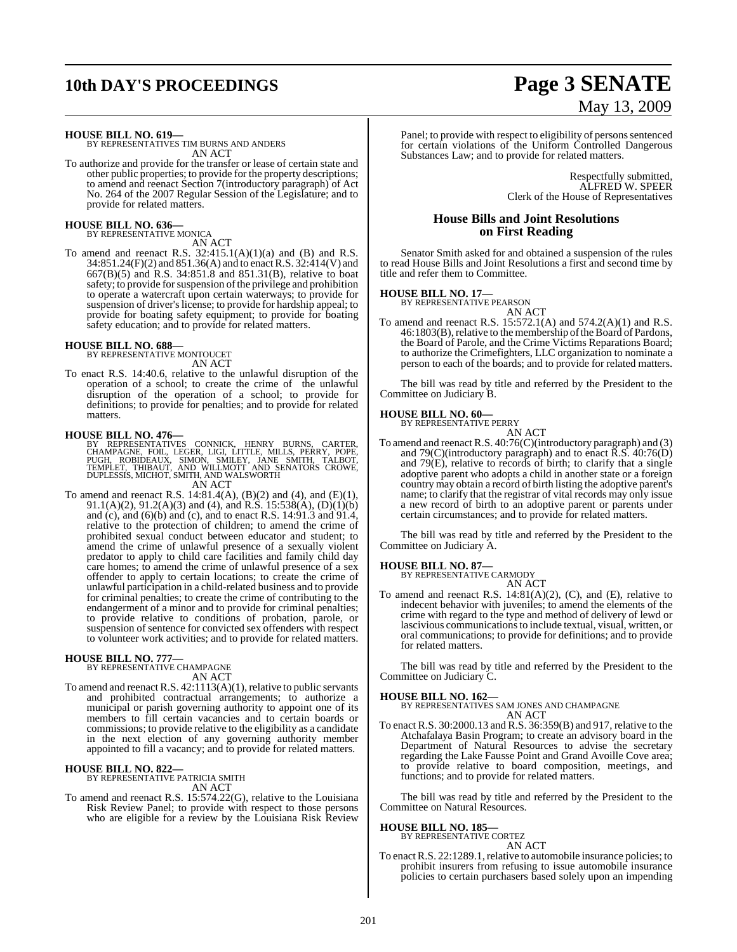# **10th DAY'S PROCEEDINGS Page 3 SENATE**

#### **HOUSE BILL NO. 619—**

BY REPRESENTATIVES TIM BURNS AND ANDERS AN ACT

To authorize and provide for the transfer or lease of certain state and other public properties; to provide for the property descriptions; to amend and reenact Section 7(introductory paragraph) of Act No. 264 of the 2007 Regular Session of the Legislature; and to provide for related matters.

#### **HOUSE BILL NO. 636—** BY REPRESENTATIVE MONICA

AN ACT

To amend and reenact R.S.  $32:415.1(A)(1)(a)$  and (B) and R.S. 34:851.24(F)(2) and 851.36(A) and to enactR.S. 32:414(V) and 667(B)(5) and R.S. 34:851.8 and 851.31(B), relative to boat safety; to provide for suspension of the privilege and prohibition to operate a watercraft upon certain waterways; to provide for suspension of driver's license; to provide for hardship appeal; to provide for boating safety equipment; to provide for boating safety education; and to provide for related matters.

#### **HOUSE BILL NO. 688—**

BY REPRESENTATIVE MONTOUCET AN ACT

To enact R.S. 14:40.6, relative to the unlawful disruption of the operation of a school; to create the crime of the unlawful disruption of the operation of a school; to provide for definitions; to provide for penalties; and to provide for related matters.

**HOUSE BILL NO. 476—**<br>BY REPRESENTATIVES CONNICK, HENRY BURNS, CARTER,<br>CHAMPAGNE, FOIL, LEGER, LIGI, LITTLE, MILLS, PERRY, POPE,<br>PUGH, ROBIDEAUX, SIMON, SMILEY, JANE SMITH, TALBOT,<br>TEMPLET, THIBAUT, AND WILLMOTT AND DUPLES AN ACT

To amend and reenact R.S. 14:81.4(A), (B)(2) and (4), and (E)(1), 91.1(A)(2), 91.2(A)(3) and (4), and R.S. 15:538(A), (D)(1)(b) and (c), and (6)(b) and (c), and to enact R.S. 14:91.3 and 91.4, relative to the protection of children; to amend the crime of prohibited sexual conduct between educator and student; to amend the crime of unlawful presence of a sexually violent predator to apply to child care facilities and family child day care homes; to amend the crime of unlawful presence of a sex offender to apply to certain locations; to create the crime of unlawful participation in a child-related business and to provide for criminal penalties; to create the crime of contributing to the endangerment of a minor and to provide for criminal penalties; to provide relative to conditions of probation, parole, or suspension of sentence for convicted sex offenders with respect to volunteer work activities; and to provide for related matters.

**HOUSE BILL NO. 777—** BY REPRESENTATIVE CHAMPAGNE AN ACT

To amend and reenact R.S. 42:1113(A)(1), relative to public servants and prohibited contractual arrangements; to authorize a municipal or parish governing authority to appoint one of its members to fill certain vacancies and to certain boards or commissions; to provide relative to the eligibility as a candidate in the next election of any governing authority member appointed to fill a vacancy; and to provide for related matters.

### **HOUSE BILL NO. 822—** BY REPRESENTATIVE PATRICIA SMITH

AN ACT

To amend and reenact R.S. 15:574.22(G), relative to the Louisiana Risk Review Panel; to provide with respect to those persons who are eligible for a review by the Louisiana Risk Review

# May 13, 2009

Panel; to provide with respect to eligibility of persons sentenced for certain violations of the Uniform Controlled Dangerous Substances Law; and to provide for related matters.

> Respectfully submitted, ALFRED W. SPEER Clerk of the House of Representatives

#### **House Bills and Joint Resolutions on First Reading**

Senator Smith asked for and obtained a suspension of the rules to read House Bills and Joint Resolutions a first and second time by title and refer them to Committee.

**HOUSE BILL NO. 17—** BY REPRESENTATIVE PEARSON AN ACT

To amend and reenact R.S. 15:572.1(A) and 574.2(A)(1) and R.S. 46:1803(B), relative to the membership of the Board of Pardons, the Board of Parole, and the Crime Victims Reparations Board; to authorize the Crimefighters, LLC organization to nominate a person to each of the boards; and to provide for related matters.

The bill was read by title and referred by the President to the Committee on Judiciary B.

#### **HOUSE BILL NO. 60—**

BY REPRESENTATIVE PERRY AN ACT

To amend and reenact R.S. 40:76(C)(introductory paragraph) and (3) and 79 $(C)$ (introductory paragraph) and to enact  $\overline{R}$ .S. 40:76 $\overline{D}$ ) and 79(E), relative to records of birth; to clarify that a single adoptive parent who adopts a child in another state or a foreign country may obtain a record of birth listing the adoptive parent's name; to clarify that the registrar of vital records may only issue a new record of birth to an adoptive parent or parents under certain circumstances; and to provide for related matters.

The bill was read by title and referred by the President to the Committee on Judiciary A.

**HOUSE BILL NO. 87—** BY REPRESENTATIVE CARMODY AN ACT

To amend and reenact R.S. 14:81(A)(2), (C), and (E), relative to indecent behavior with juveniles; to amend the elements of the crime with regard to the type and method of delivery of lewd or lascivious communications to include textual, visual, written, or oral communications; to provide for definitions; and to provide for related matters.

The bill was read by title and referred by the President to the Committee on Judiciary C.

**HOUSE BILL NO. 162—** BY REPRESENTATIVES SAM JONES AND CHAMPAGNE AN ACT

To enact R.S. 30:2000.13 and R.S. 36:359(B) and 917, relative to the Atchafalaya Basin Program; to create an advisory board in the Department of Natural Resources to advise the secretary regarding the Lake Fausse Point and Grand Avoille Cove area; to provide relative to board composition, meetings, and functions; and to provide for related matters.

The bill was read by title and referred by the President to the Committee on Natural Resources.

#### **HOUSE BILL NO. 185—**

BY REPRESENTATIVE CORTEZ AN ACT

To enact R.S. 22:1289.1, relative to automobile insurance policies; to prohibit insurers from refusing to issue automobile insurance policies to certain purchasers based solely upon an impending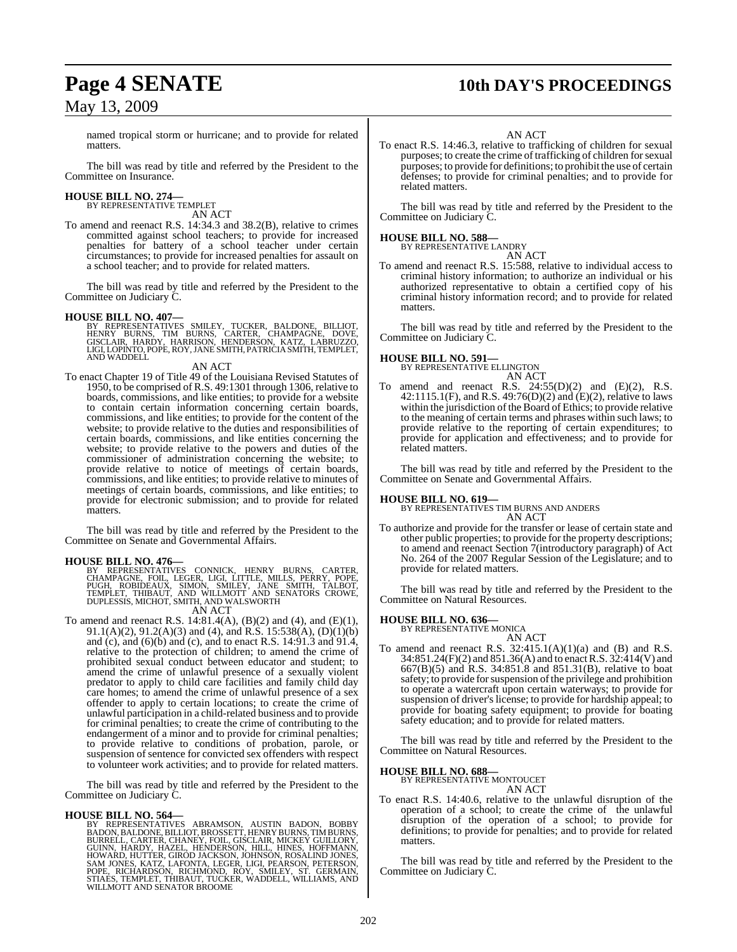## **Page 4 SENATE 10th DAY'S PROCEEDINGS**

named tropical storm or hurricane; and to provide for related matters.

The bill was read by title and referred by the President to the Committee on Insurance.

# **HOUSE BILL NO. 274—** BY REPRESENTATIVE TEMPLET

AN ACT

To amend and reenact R.S. 14:34.3 and 38.2(B), relative to crimes committed against school teachers; to provide for increased penalties for battery of a school teacher under certain circumstances; to provide for increased penalties for assault on a school teacher; and to provide for related matters.

The bill was read by title and referred by the President to the Committee on Judiciary C.

#### **HOUSE BILL NO. 407—**

BY REPRESENTATIVES SMILEY, TUCKER, BALDONE, BILLIOT,<br>HENRY BURNS, TIM BURNS, CARTER, CHAMPAGNE, DOVE,<br>GISCLAIR, HARDY, HARRISON, HENDERSON, KATZ, LABRUZZO,<br>LIGI,LOPINTO,POPE,ROY,JANESMITH,PATRICIASMITH,TEMPLET,<br>AND WADDELL

#### AN ACT

To enact Chapter 19 of Title 49 of the Louisiana Revised Statutes of 1950, to be comprised of R.S. 49:1301 through 1306, relative to boards, commissions, and like entities; to provide for a website to contain certain information concerning certain boards, commissions, and like entities; to provide for the content of the website; to provide relative to the duties and responsibilities of certain boards, commissions, and like entities concerning the website; to provide relative to the powers and duties of the commissioner of administration concerning the website; to provide relative to notice of meetings of certain boards, commissions, and like entities; to provide relative to minutes of meetings of certain boards, commissions, and like entities; to provide for electronic submission; and to provide for related matters.

The bill was read by title and referred by the President to the Committee on Senate and Governmental Affairs.

**HOUSE BILL NO. 476—**<br>BY REPRESENTATIVES CONNICK, HENRY BURNS, CARTER,<br>CHAMPAGNE, FOIL, LEGER, LIGI, LITTLE, MILLS, PERRY, POPE,<br>PUGH, ROBIDEAUX, SIMON, SMILEY, JANE SMITH, TALBOT,<br>TEMPLET, THIBAUT, AND WILLMOTT AND DUPLES

AN ACT

To amend and reenact R.S. 14:81.4(A), (B)(2) and (4), and (E)(1), 91.1(A)(2), 91.2(A)(3) and (4), and R.S. 15:538(A), (D)(1)(b) and (c), and (6)(b) and (c), and to enact R.S.  $14:91.3$  and  $91.4$ , relative to the protection of children; to amend the crime of prohibited sexual conduct between educator and student; to amend the crime of unlawful presence of a sexually violent predator to apply to child care facilities and family child day care homes; to amend the crime of unlawful presence of a sex offender to apply to certain locations; to create the crime of unlawful participation in a child-related business and to provide for criminal penalties; to create the crime of contributing to the endangerment of a minor and to provide for criminal penalties; to provide relative to conditions of probation, parole, or suspension of sentence for convicted sex offenders with respect to volunteer work activities; and to provide for related matters.

The bill was read by title and referred by the President to the Committee on Judiciary C.

#### **HOUSE BILL NO. 564—**

BY REPRESENTATIVES ABRAMSON, AUSTIN BADON, BOBBY<br>BADON,BALDONE,BILLIOT,BROSSETT,HENRYBURNS,TIMBURNS,<br>BURRELL,CARTER,CHANEY,FOLL,GISCLAIR,MICKEY,GUILLORY,<br>GUINN,HARDY,HAZEL,HENDERSON,HILL,HINES,HOUILLORY,<br>HOWARD,HUTTER,GIRO

AN ACT

To enact R.S. 14:46.3, relative to trafficking of children for sexual purposes; to create the crime of trafficking of children for sexual purposes; to provide for definitions; to prohibit the use of certain defenses; to provide for criminal penalties; and to provide for related matters.

The bill was read by title and referred by the President to the Committee on Judiciary C.

### **HOUSE BILL NO. 588—**

BY REPRESENTATIVE LANDRY AN ACT

To amend and reenact R.S. 15:588, relative to individual access to criminal history information; to authorize an individual or his authorized representative to obtain a certified copy of his criminal history information record; and to provide for related matters.

The bill was read by title and referred by the President to the Committee on Judiciary C.

#### **HOUSE BILL NO. 591—**

BY REPRESENTATIVE ELLINGTON AN ACT

To amend and reenact R.S.  $24:55(D)(2)$  and  $(E)(2)$ , R.S. 42:1115.1(F), and R.S. 49:76(D)(2) and  $(E)(2)$ , relative to laws within the jurisdiction of the Board of Ethics; to provide relative to the meaning of certain terms and phrases within such laws; to provide relative to the reporting of certain expenditures; to provide for application and effectiveness; and to provide for related matters.

The bill was read by title and referred by the President to the Committee on Senate and Governmental Affairs.

#### **HOUSE BILL NO. 619—**

BY REPRESENTATIVES TIM BURNS AND ANDERS AN ACT

To authorize and provide for the transfer or lease of certain state and other public properties; to provide for the property descriptions; to amend and reenact Section 7(introductory paragraph) of Act No. 264 of the 2007 Regular Session of the Legislature; and to provide for related matters.

The bill was read by title and referred by the President to the Committee on Natural Resources.

## **HOUSE BILL NO. 636—** BY REPRESENTATIVE MONICA

AN ACT To amend and reenact R.S.  $32:415.1(A)(1)(a)$  and (B) and R.S. 34:851.24(F)(2) and 851.36(A) and to enactR.S. 32:414(V) and 667(B)(5) and R.S. 34:851.8 and 851.31(B), relative to boat safety; to provide for suspension of the privilege and prohibition to operate a watercraft upon certain waterways; to provide for suspension of driver's license; to provide for hardship appeal; to provide for boating safety equipment; to provide for boating safety education; and to provide for related matters.

The bill was read by title and referred by the President to the Committee on Natural Resources.

#### **HOUSE BILL NO. 688—**

BY REPRESENTATIVE MONTOUCET AN ACT

To enact R.S. 14:40.6, relative to the unlawful disruption of the operation of a school; to create the crime of the unlawful disruption of the operation of a school; to provide for definitions; to provide for penalties; and to provide for related matters.

The bill was read by title and referred by the President to the Committee on Judiciary C.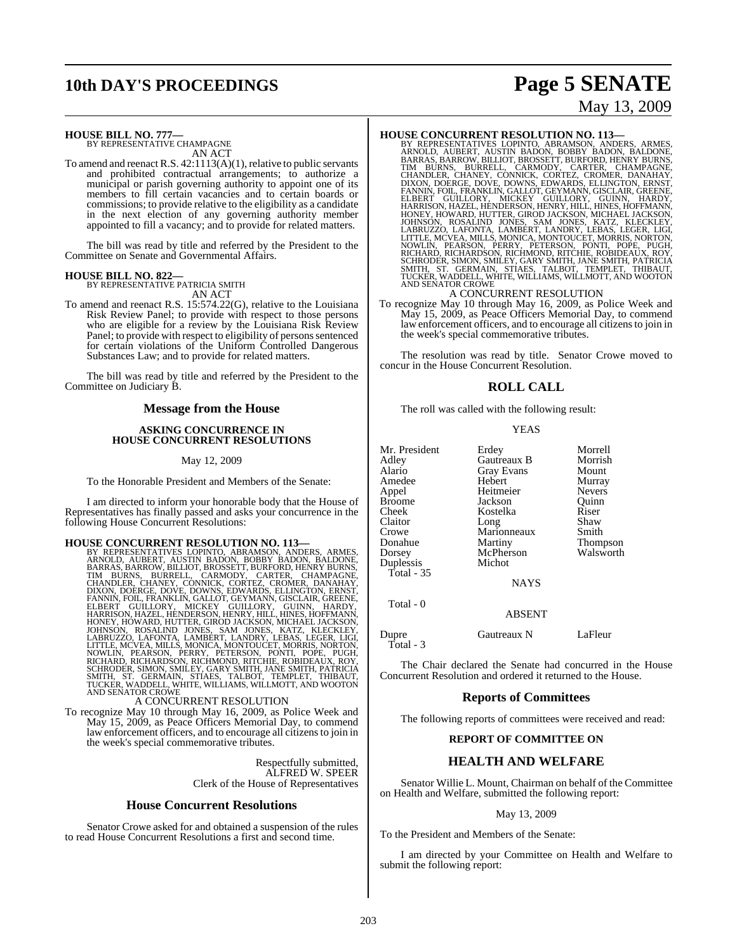# **10th DAY'S PROCEEDINGS Page 5 SENATE**

# May 13, 2009

#### **HOUSE BILL NO. 777—** BY REPRESENTATIVE CHAMPAGNE

AN ACT

To amend and reenact R.S. 42:1113(A)(1), relative to public servants and prohibited contractual arrangements; to authorize a municipal or parish governing authority to appoint one of its members to fill certain vacancies and to certain boards or commissions; to provide relative to the eligibility as a candidate in the next election of any governing authority member appointed to fill a vacancy; and to provide for related matters.

The bill was read by title and referred by the President to the Committee on Senate and Governmental Affairs.

#### **HOUSE BILL NO. 822—** BY REPRESENTATIVE PATRICIA SMITH

AN ACT

To amend and reenact R.S. 15:574.22(G), relative to the Louisiana Risk Review Panel; to provide with respect to those persons who are eligible for a review by the Louisiana Risk Review Panel; to provide with respect to eligibility of persons sentenced for certain violations of the Uniform Controlled Dangerous Substances Law; and to provide for related matters.

The bill was read by title and referred by the President to the Committee on Judiciary B.

#### **Message from the House**

#### **ASKING CONCURRENCE IN HOUSE CONCURRENT RESOLUTIONS**

#### May 12, 2009

To the Honorable President and Members of the Senate:

I am directed to inform your honorable body that the House of Representatives has finally passed and asks your concurrence in the following House Concurrent Resolutions:

HOUSE CONCURRENT RESOLUTION NO. 113-88 Y REPRESENTATIVES LOPINTO, ABRAMSON, ANDERS, ARMES, ARNOLD, AUBERT, AUSTIN BADON, BOBBY BADON, BALDONE, BARRAS, BARROW, BILLIOT, BROSSETT, BURFORD, HENRY BURNS, TIM BURNS, BURRELL, CA

To recognize May 10 through May 16, 2009, as Police Week and May 15, 2009, as Peace Officers Memorial Day, to commend law enforcement officers, and to encourage all citizensto join in the week's special commemorative tributes.

> Respectfully submitted, ALFRED W. SPEER Clerk of the House of Representatives

#### **House Concurrent Resolutions**

Senator Crowe asked for and obtained a suspension of the rules to read House Concurrent Resolutions a first and second time.

**HOUSE CONCURRENT RESOLUTION NO. 113—**<br>BY REPRESENTATIVES LOPINTO, ABRAMSON, ANDERS, ARMES,<br>ARNOLD, AUBERT, AUSTIN BADON, BOBBY BADON, BALDONE,<br>BARRAS, BARROW, BILLIOT, BROSSETT, BURFORD, HENRY BURNS, TIM BURNS, BURRELL, CARMODY, CARTER, CHAMPAGNE, CHAMDLER, CHANELE, CONNICK, CORTEZ, CRONER, DANAHAY, FOLDINON, EDNAND, FOLDINON, ENNIN, FOLDINON, FELIBERT GUILLORY, MILLOT, GEYMANN, GISCLAIR, GREENE, EELBERT GUILLORY, MICK

To recognize May 10 through May 16, 2009, as Police Week and May 15, 2009, as Peace Officers Memorial Day, to commend law enforcement officers, and to encourage all citizensto join in the week's special commemorative tributes.

The resolution was read by title. Senator Crowe moved to concur in the House Concurrent Resolution.

#### **ROLL CALL**

The roll was called with the following result:

|--|--|

| Mr. President | Erdey             | Morrell       |
|---------------|-------------------|---------------|
| Adley         | Gautreaux B       | Morrish       |
| Alario        | <b>Gray Evans</b> | Mount         |
| Amedee        | Hebert            | Murray        |
| Appel         | Heitmeier         | <b>Nevers</b> |
| Broome        | Jackson           | Ouinn         |
| Cheek         | Kostelka          | Riser         |
| Claitor       | Long              | Shaw          |
| Crowe         | Marionneaux       | Smith         |
| Donahue       | Martiny           | Thompson      |
| Dorsey        | McPherson         | Walsworth     |
| Duplessis     | Michot            |               |
| Total - 35    |                   |               |
|               | <b>NAYS</b>       |               |
| Total - 0     |                   |               |
|               | <b>ABSENT</b>     |               |
| Dupre         | Gautreaux N       | LaFleur       |

Total - 3

The Chair declared the Senate had concurred in the House Concurrent Resolution and ordered it returned to the House.

#### **Reports of Committees**

The following reports of committees were received and read:

#### **REPORT OF COMMITTEE ON**

#### **HEALTH AND WELFARE**

Senator Willie L. Mount, Chairman on behalf of the Committee on Health and Welfare, submitted the following report:

#### May 13, 2009

To the President and Members of the Senate:

I am directed by your Committee on Health and Welfare to submit the following report: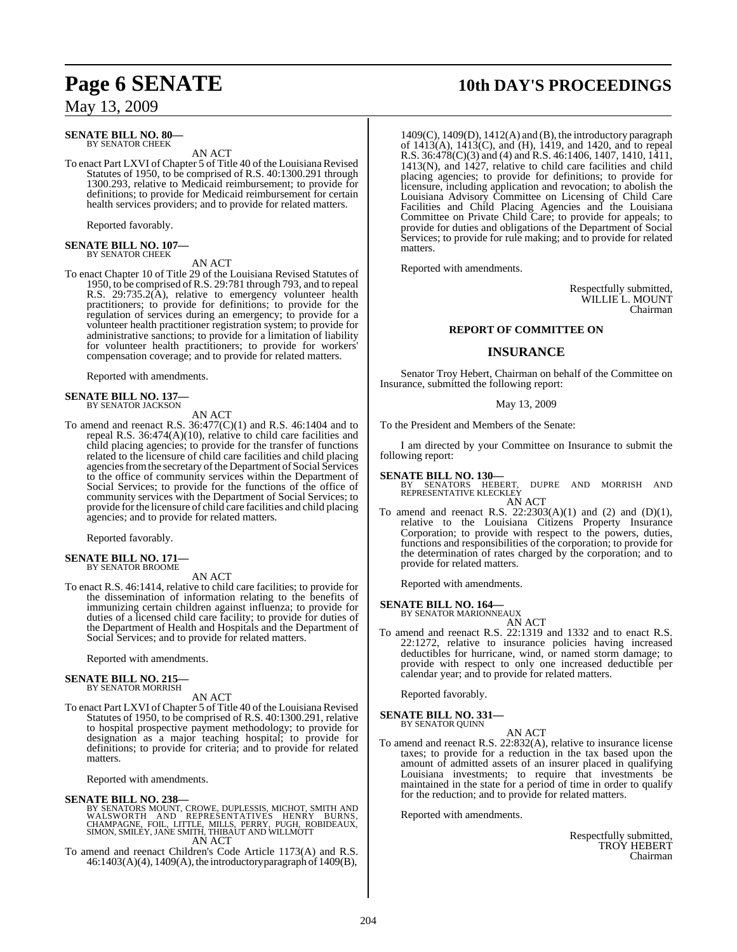#### **SENATE BILL NO. 80—** BY SENATOR CHEEK

AN ACT

To enact Part LXVI of Chapter 5 of Title 40 of the Louisiana Revised Statutes of 1950, to be comprised of R.S. 40:1300.291 through 1300.293, relative to Medicaid reimbursement; to provide for definitions; to provide for Medicaid reimbursement for certain health services providers; and to provide for related matters.

Reported favorably.

## **SENATE BILL NO. 107—** BY SENATOR CHEEK

AN ACT

To enact Chapter 10 of Title 29 of the Louisiana Revised Statutes of 1950, to be comprised ofR.S. 29:781 through 793, and to repeal R.S. 29:735.2(A), relative to emergency volunteer health practitioners; to provide for definitions; to provide for the regulation of services during an emergency; to provide for a volunteer health practitioner registration system; to provide for administrative sanctions; to provide for a limitation of liability for volunteer health practitioners; to provide for workers' compensation coverage; and to provide for related matters.

Reported with amendments.

#### **SENATE BILL NO. 137—** BY SENATOR JACKSON

AN ACT

To amend and reenact R.S.  $36:477(C)(1)$  and R.S. 46:1404 and to repeal R.S. 36:474(A)(10), relative to child care facilities and child placing agencies; to provide for the transfer of functions related to the licensure of child care facilities and child placing agencies from the secretary of the Department of Social Services to the office of community services within the Department of Social Services; to provide for the functions of the office of community services with the Department of Social Services; to provide for the licensure of child care facilities and child placing agencies; and to provide for related matters.

Reported favorably.

#### **SENATE BILL NO. 171—** BY SENATOR BROOME

AN ACT

To enact R.S. 46:1414, relative to child care facilities; to provide for the dissemination of information relating to the benefits of immunizing certain children against influenza; to provide for duties of a licensed child care facility; to provide for duties of the Department of Health and Hospitals and the Department of Social Services; and to provide for related matters.

Reported with amendments.

#### **SENATE BILL NO. 215—** BY SENATOR MORRISH

AN ACT

To enact Part LXVI of Chapter 5 of Title 40 of the Louisiana Revised Statutes of 1950, to be comprised of R.S. 40:1300.291, relative to hospital prospective payment methodology; to provide for designation as a major teaching hospital; to provide for definitions; to provide for criteria; and to provide for related matters.

Reported with amendments.

#### **SENATE BILL NO. 238—**

BY SENATORS MOUNT, CROWE, DUPLESSIS, MICHOT, SMITH AND<br>WALSWORTH AND REPRESENTATIVES HENRY, DURNY<br>CHAMPAGNE, FOIL, LITTLE, MILLS, PERRY, PUGH, ROBIDEAUX,<br>SIMON, SMILEY, JANE SMITH, THIBAUT AND WILLMOTT AN ACT

To amend and reenact Children's Code Article 1173(A) and R.S. 46:1403(A)(4), 1409(A), the introductory paragraph of 1409(B),

# **Page 6 SENATE 10th DAY'S PROCEEDINGS**

1409(C), 1409(D), 1412(A) and (B), the introductory paragraph of 1413(A), 1413(C), and (H), 1419, and 1420, and to repeal R.S. 36:478(C)(3) and (4) and R.S. 46:1406, 1407, 1410, 1411, 1413(N), and 1427, relative to child care facilities and child placing agencies; to provide for definitions; to provide for licensure, including application and revocation; to abolish the Louisiana Advisory Committee on Licensing of Child Care Facilities and Child Placing Agencies and the Louisiana Committee on Private Child Care; to provide for appeals; to provide for duties and obligations of the Department of Social Services; to provide for rule making; and to provide for related matters.

Reported with amendments.

Respectfully submitted, WILLIE L. MOUNT Chairman

#### **REPORT OF COMMITTEE ON**

#### **INSURANCE**

Senator Troy Hebert, Chairman on behalf of the Committee on Insurance, submitted the following report:

May 13, 2009

To the President and Members of the Senate:

I am directed by your Committee on Insurance to submit the following report:

#### **SENATE BILL NO. 130—**

BY SENATORS HEBERT, DUPRE AND MORRISH AND<br>REPRESENTATIVE KLECKLEY AN ACT

To amend and reenact R.S.  $22:2303(A)(1)$  and  $(2)$  and  $(D)(1)$ , relative to the Louisiana Citizens Property Insurance Corporation; to provide with respect to the powers, duties, functions and responsibilities of the corporation; to provide for the determination of rates charged by the corporation; and to provide for related matters.

Reported with amendments.

### **SENATE BILL NO. 164—** BY SENATOR MARIONNEAUX

AN ACT To amend and reenact R.S. 22:1319 and 1332 and to enact R.S. 22:1272, relative to insurance policies having increased deductibles for hurricane, wind, or named storm damage; to provide with respect to only one increased deductible per calendar year; and to provide for related matters.

Reported favorably.

### **SENATE BILL NO. 331—** BY SENATOR QUINN

AN ACT

To amend and reenact R.S. 22:832(A), relative to insurance license taxes; to provide for a reduction in the tax based upon the amount of admitted assets of an insurer placed in qualifying Louisiana investments; to require that investments be maintained in the state for a period of time in order to qualify for the reduction; and to provide for related matters.

Reported with amendments.

Respectfully submitted, TROY HEBERT Chairman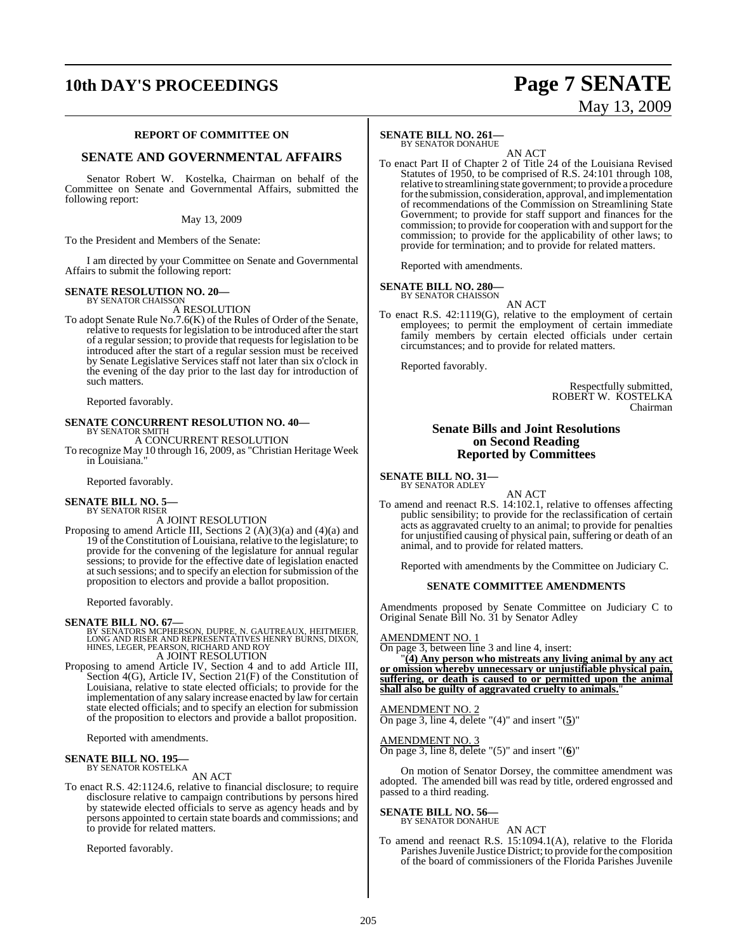# **10th DAY'S PROCEEDINGS Page 7 SENATE**

# May 13, 2009

#### **REPORT OF COMMITTEE ON**

#### **SENATE AND GOVERNMENTAL AFFAIRS**

Senator Robert W. Kostelka, Chairman on behalf of the Committee on Senate and Governmental Affairs, submitted the following report:

#### May 13, 2009

To the President and Members of the Senate:

I am directed by your Committee on Senate and Governmental Affairs to submit the following report:

#### **SENATE RESOLUTION NO. 20—** BY SENATOR CHAISSON

A RESOLUTION

To adopt Senate Rule No.7.6(K) of the Rules of Order of the Senate, relative to requests for legislation to be introduced after the start of a regular session; to provide that requestsfor legislation to be introduced after the start of a regular session must be received by Senate Legislative Services staff not later than six o'clock in the evening of the day prior to the last day for introduction of such matters.

Reported favorably.

### **SENATE CONCURRENT RESOLUTION NO. 40—** BY SENATOR SMITH A CONCURRENT RESOLUTION

To recognize May 10 through 16, 2009, as "Christian Heritage Week in Louisiana."

Reported favorably.

#### **SENATE BILL NO. 5—** BY SENATOR RISER

A JOINT RESOLUTION

Proposing to amend Article III, Sections 2 (A)(3)(a) and (4)(a) and 19 of the Constitution of Louisiana, relative to the legislature; to provide for the convening of the legislature for annual regular sessions; to provide for the effective date of legislation enacted at such sessions; and to specify an election for submission of the proposition to electors and provide a ballot proposition.

Reported favorably.

**SENATE BILL NO. 67—**<br>BY SENATORS MCPHERSON, DUPRE, N. GAUTREAUX, HEITMEIER,<br>LONG AND RISER AND REPRESENTATIVES HENRY BURNS, DIXON,<br>HINES, LEGER, PEARSON, RICHARD AND ROY A JOINT RESOLUTION

Proposing to amend Article IV, Section 4 and to add Article III, Section 4(G), Article IV, Section 21(F) of the Constitution of Louisiana, relative to state elected officials; to provide for the implementation of any salary increase enacted by law for certain state elected officials; and to specify an election for submission of the proposition to electors and provide a ballot proposition.

Reported with amendments.

#### **SENATE BILL NO. 195—** BY SENATOR KOSTELKA

AN ACT

To enact R.S. 42:1124.6, relative to financial disclosure; to require disclosure relative to campaign contributions by persons hired by statewide elected officials to serve as agency heads and by persons appointed to certain state boards and commissions; and to provide for related matters.

Reported favorably.

### **SENATE BILL NO. 261—**

BY SENATOR DONAHUE

AN ACT To enact Part II of Chapter 2 of Title 24 of the Louisiana Revised Statutes of 1950, to be comprised of R.S. 24:101 through 108, relative to streamlining state government; to provide a procedure forthe submission, consideration, approval, and implementation of recommendations of the Commission on Streamlining State Government; to provide for staff support and finances for the commission; to provide for cooperation with and support for the commission; to provide for the applicability of other laws; to provide for termination; and to provide for related matters.

Reported with amendments.

#### **SENATE BILL NO. 280—**

BY SENATOR CHAISSON AN ACT

To enact R.S. 42:1119(G), relative to the employment of certain employees; to permit the employment of certain immediate family members by certain elected officials under certain circumstances; and to provide for related matters.

Reported favorably.

Respectfully submitted, ROBERT W. KOSTELKA Chairman

#### **Senate Bills and Joint Resolutions on Second Reading Reported by Committees**

**SENATE BILL NO. 31—** BY SENATOR ADLEY

AN ACT

To amend and reenact R.S. 14:102.1, relative to offenses affecting public sensibility; to provide for the reclassification of certain acts as aggravated cruelty to an animal; to provide for penalties for unjustified causing of physical pain, suffering or death of an animal, and to provide for related matters.

Reported with amendments by the Committee on Judiciary C.

#### **SENATE COMMITTEE AMENDMENTS**

Amendments proposed by Senate Committee on Judiciary C to Original Senate Bill No. 31 by Senator Adley

#### AMENDMENT NO. 1

On page 3, between line 3 and line 4, insert:

"**(4) Any person who mistreats any living animal by any act or omission whereby unnecessary or unjustifiable physical pain, suffering, or death is caused to or permitted upon the animal shall also be guilty of aggravated cruelty to animals.**"

### AMENDMENT NO. 2

On page 3, line 4, delete "(4)" and insert "(**5**)"

AMENDMENT NO. 3 On page 3, line 8, delete "(5)" and insert "(**6**)"

On motion of Senator Dorsey, the committee amendment was adopted. The amended bill was read by title, ordered engrossed and passed to a third reading.

**SENATE BILL NO. 56—**

BY SENATOR DONAHUE

#### AN ACT

To amend and reenact R.S. 15:1094.1(A), relative to the Florida Parishes Juvenile Justice District; to provide for the composition of the board of commissioners of the Florida Parishes Juvenile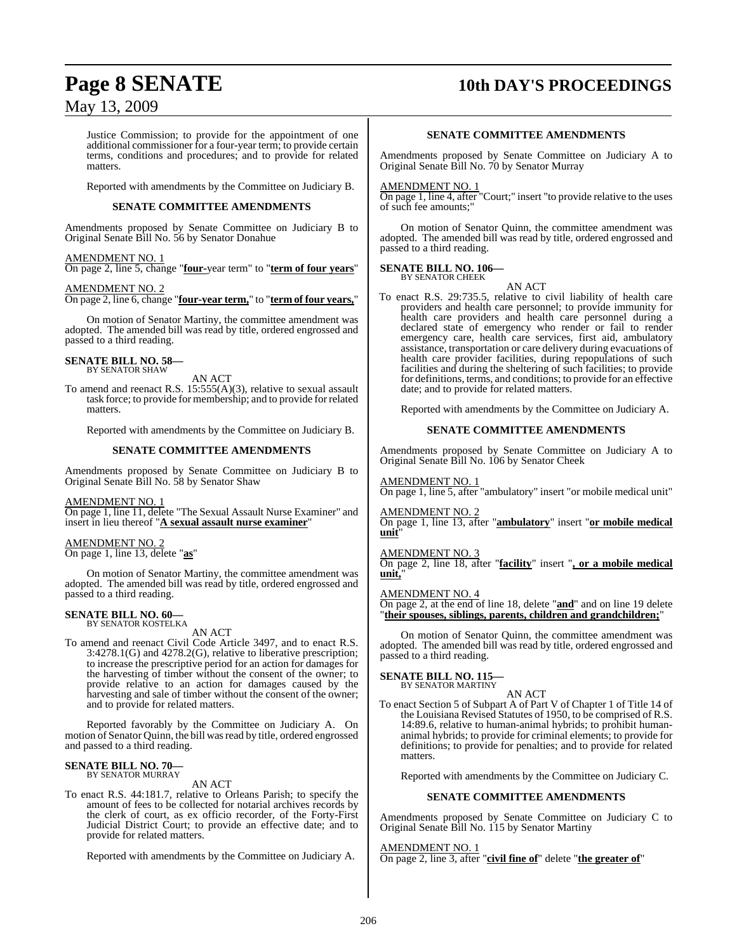# **Page 8 SENATE 10th DAY'S PROCEEDINGS**

### May 13, 2009

Justice Commission; to provide for the appointment of one additional commissioner for a four-year term; to provide certain terms, conditions and procedures; and to provide for related matters.

Reported with amendments by the Committee on Judiciary B.

#### **SENATE COMMITTEE AMENDMENTS**

Amendments proposed by Senate Committee on Judiciary B to Original Senate Bill No. 56 by Senator Donahue

#### AMENDMENT NO. 1

On page 2, line 5, change "**four-**year term" to "**term of four years**"

#### AMENDMENT NO. 2

On page 2, line 6, change "**four-year term,**" to "**term of four years,**"

On motion of Senator Martiny, the committee amendment was adopted. The amended bill was read by title, ordered engrossed and passed to a third reading.

#### **SENATE BILL NO. 58—** BY SENATOR SHAW

AN ACT

To amend and reenact R.S. 15:555(A)(3), relative to sexual assault task force; to provide for membership; and to provide for related matters.

Reported with amendments by the Committee on Judiciary B.

#### **SENATE COMMITTEE AMENDMENTS**

Amendments proposed by Senate Committee on Judiciary B to Original Senate Bill No. 58 by Senator Shaw

#### AMENDMENT NO. 1

On page 1, line 11, delete "The Sexual Assault Nurse Examiner" and insert in lieu thereof "**A sexual assault nurse examiner**"

#### AMENDMENT NO. 2

On page 1, line 13, delete "**as**"

On motion of Senator Martiny, the committee amendment was adopted. The amended bill was read by title, ordered engrossed and passed to a third reading.

### **SENATE BILL NO. 60—** BY SENATOR KOSTELKA

AN ACT

To amend and reenact Civil Code Article 3497, and to enact R.S. 3:4278.1(G) and 4278.2(G), relative to liberative prescription; to increase the prescriptive period for an action for damages for the harvesting of timber without the consent of the owner; to provide relative to an action for damages caused by the harvesting and sale of timber without the consent of the owner; and to provide for related matters.

Reported favorably by the Committee on Judiciary A. On motion of Senator Quinn, the bill wasread by title, ordered engrossed and passed to a third reading.

### **SENATE BILL NO. 70—** BY SENATOR MURRAY

AN ACT

To enact R.S. 44:181.7, relative to Orleans Parish; to specify the amount of fees to be collected for notarial archives records by the clerk of court, as ex officio recorder, of the Forty-First Judicial District Court; to provide an effective date; and to provide for related matters.

Reported with amendments by the Committee on Judiciary A.

#### **SENATE COMMITTEE AMENDMENTS**

Amendments proposed by Senate Committee on Judiciary A to Original Senate Bill No. 70 by Senator Murray

#### AMENDMENT NO. 1

On page 1, line 4, after "Court;" insert "to provide relative to the uses of such fee amounts;"

On motion of Senator Quinn, the committee amendment was adopted. The amended bill was read by title, ordered engrossed and passed to a third reading.

### **SENATE BILL NO. 106—**

BY SENATOR CHEEK

AN ACT To enact R.S. 29:735.5, relative to civil liability of health care providers and health care personnel; to provide immunity for health care providers and health care personnel during a declared state of emergency who render or fail to render emergency care, health care services, first aid, ambulatory assistance, transportation or care delivery during evacuations of health care provider facilities, during repopulations of such facilities and during the sheltering of such facilities; to provide for definitions, terms, and conditions; to provide for an effective date; and to provide for related matters.

Reported with amendments by the Committee on Judiciary A.

#### **SENATE COMMITTEE AMENDMENTS**

Amendments proposed by Senate Committee on Judiciary A to Original Senate Bill No. 106 by Senator Cheek

#### AMENDMENT NO. 1

On page 1, line 5, after "ambulatory" insert "or mobile medical unit"

AMENDMENT NO. 2 On page 1, line 13, after "**ambulatory**" insert "**or mobile medical unit**"

#### AMENDMENT NO. 3

On page 2, line 18, after "**facility**" insert "**, or a mobile medical unit,**"

#### AMENDMENT NO. 4

On page 2, at the end of line 18, delete "**and**" and on line 19 delete "**their spouses, siblings, parents, children and grandchildren;**"

On motion of Senator Quinn, the committee amendment was adopted. The amended bill was read by title, ordered engrossed and passed to a third reading.

### **SENATE BILL NO. 115—**

BY SENATOR MARTINY AN ACT

To enact Section 5 of Subpart A of Part V of Chapter 1 of Title 14 of the Louisiana Revised Statutes of 1950, to be comprised of R.S. 14:89.6, relative to human-animal hybrids; to prohibit humananimal hybrids; to provide for criminal elements; to provide for definitions; to provide for penalties; and to provide for related matters.

Reported with amendments by the Committee on Judiciary C.

#### **SENATE COMMITTEE AMENDMENTS**

Amendments proposed by Senate Committee on Judiciary C to Original Senate Bill No. 115 by Senator Martiny

AMENDMENT NO. 1 On page 2, line 3, after "**civil fine of**" delete "**the greater of**"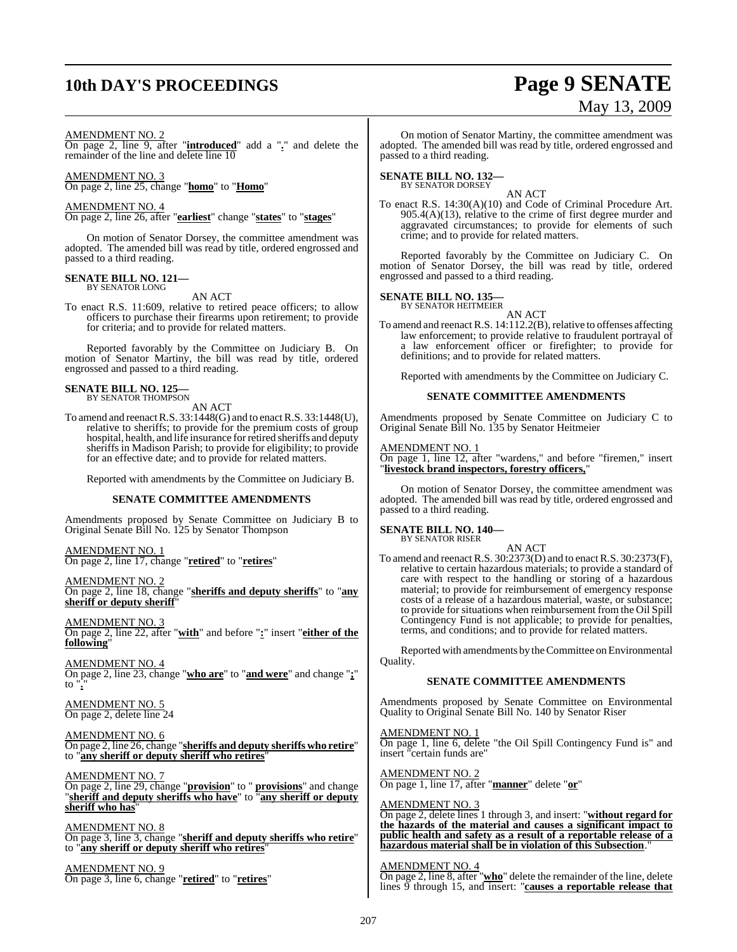# **10th DAY'S PROCEEDINGS Page 9 SENATE**

# May 13, 2009

#### AMENDMENT NO. 2

On page 2, line 9, after "**introduced**" add a "**.**" and delete the remainder of the line and delete line 10

#### AMENDMENT NO. 3

On page 2, line 25, change "**homo**" to "**Homo**"

#### AMENDMENT NO. 4

On page 2, line 26, after "**earliest**" change "**states**" to "**stages**"

On motion of Senator Dorsey, the committee amendment was adopted. The amended bill was read by title, ordered engrossed and passed to a third reading.

#### **SENATE BILL NO. 121—** BY SENATOR LONG

AN ACT

To enact R.S. 11:609, relative to retired peace officers; to allow officers to purchase their firearms upon retirement; to provide for criteria; and to provide for related matters.

Reported favorably by the Committee on Judiciary B. On motion of Senator Martiny, the bill was read by title, ordered engrossed and passed to a third reading.

# **SENATE BILL NO. 125—** BY SENATOR THOMPSON

AN ACT

To amend and reenactR.S. 33:1448(G) and to enactR.S. 33:1448(U), relative to sheriffs; to provide for the premium costs of group hospital, health, and life insurance for retired sheriffs and deputy sheriffs in Madison Parish; to provide for eligibility; to provide for an effective date; and to provide for related matters.

Reported with amendments by the Committee on Judiciary B.

#### **SENATE COMMITTEE AMENDMENTS**

Amendments proposed by Senate Committee on Judiciary B to Original Senate Bill No. 125 by Senator Thompson

#### AMENDMENT NO. 1 On page 2, line 17, change "**retired**" to "**retires**"

AMENDMENT NO. 2 On page 2, line 18, change "**sheriffs and deputy sheriffs**" to "**any sheriff or deputy sheriff**"

AMENDMENT NO. 3 On page 2, line 22, after "**with**" and before "**:**" insert "**either of the following**"

AMENDMENT NO. 4 On page 2, line 23, change "**who are**" to "**and were**" and change "**;**" to "**.**"

AMENDMENT NO. 5 On page 2, delete line 24

AMENDMENT NO. 6 On page 2, line 26, change "**sheriffs and deputy sheriffs who retire**" to "**any sheriff or deputy sheriff who retires**"

AMENDMENT NO. 7

On page 2, line 29, change "**provision**" to " **provisions**" and change "**sheriff and deputy sheriffs who have**" to "**any sheriff or deputy** sheriff who has

AMENDMENT NO. 8 On page 3, line 3, change "**sheriff and deputy sheriffs who retire**" to "**any sheriff or deputy sheriff who retires**"

AMENDMENT NO. 9 On page 3, line 6, change "**retired**" to "**retires**"

On motion of Senator Martiny, the committee amendment was adopted. The amended bill was read by title, ordered engrossed and passed to a third reading.

## **SENATE BILL NO. 132—** BY SENATOR DORSEY

AN ACT

To enact R.S. 14:30(A)(10) and Code of Criminal Procedure Art. 905.4(A)(13), relative to the crime of first degree murder and aggravated circumstances; to provide for elements of such crime; and to provide for related matters.

Reported favorably by the Committee on Judiciary C. On motion of Senator Dorsey, the bill was read by title, ordered engrossed and passed to a third reading.

## **SENATE BILL NO. 135—** BY SENATOR HEITMEIER

AN ACT

To amend and reenact R.S. 14:112.2(B), relative to offenses affecting law enforcement; to provide relative to fraudulent portrayal of a law enforcement officer or firefighter; to provide for definitions; and to provide for related matters.

Reported with amendments by the Committee on Judiciary C.

#### **SENATE COMMITTEE AMENDMENTS**

Amendments proposed by Senate Committee on Judiciary C to Original Senate Bill No. 135 by Senator Heitmeier

#### AMENDMENT NO. 1

On page 1, line 12, after "wardens," and before "firemen," insert "**livestock brand inspectors, forestry officers,**"

On motion of Senator Dorsey, the committee amendment was adopted. The amended bill was read by title, ordered engrossed and passed to a third reading.

### **SENATE BILL NO. 140—**

BY SENATOR RISER

AN ACT To amend and reenact R.S. 30:2373(D) and to enactR.S. 30:2373(F), relative to certain hazardous materials; to provide a standard of care with respect to the handling or storing of a hazardous material; to provide for reimbursement of emergency response costs of a release of a hazardous material, waste, or substance; to provide for situations when reimbursement from the Oil Spill Contingency Fund is not applicable; to provide for penalties, terms, and conditions; and to provide for related matters.

Reported with amendments by the Committee on Environmental Quality.

#### **SENATE COMMITTEE AMENDMENTS**

Amendments proposed by Senate Committee on Environmental Quality to Original Senate Bill No. 140 by Senator Riser

AMENDMENT NO. 1 On page 1, line 6, delete "the Oil Spill Contingency Fund is" and insert "certain funds are"

AMENDMENT NO. 2 On page 1, line 17, after "**manner**" delete "**or**"

#### AMENDMENT NO. 3

On page 2, delete lines 1 through 3, and insert: "**without regard for the hazards of the material and causes a significant impact to public health and safety as a result of a reportable release of a hazardous material shall be in violation of this Subsection**."

#### AMENDMENT NO. 4

On page 2, line 8, after "**who**" delete the remainder of the line, delete lines 9 through 15, and insert: "**causes a reportable release that**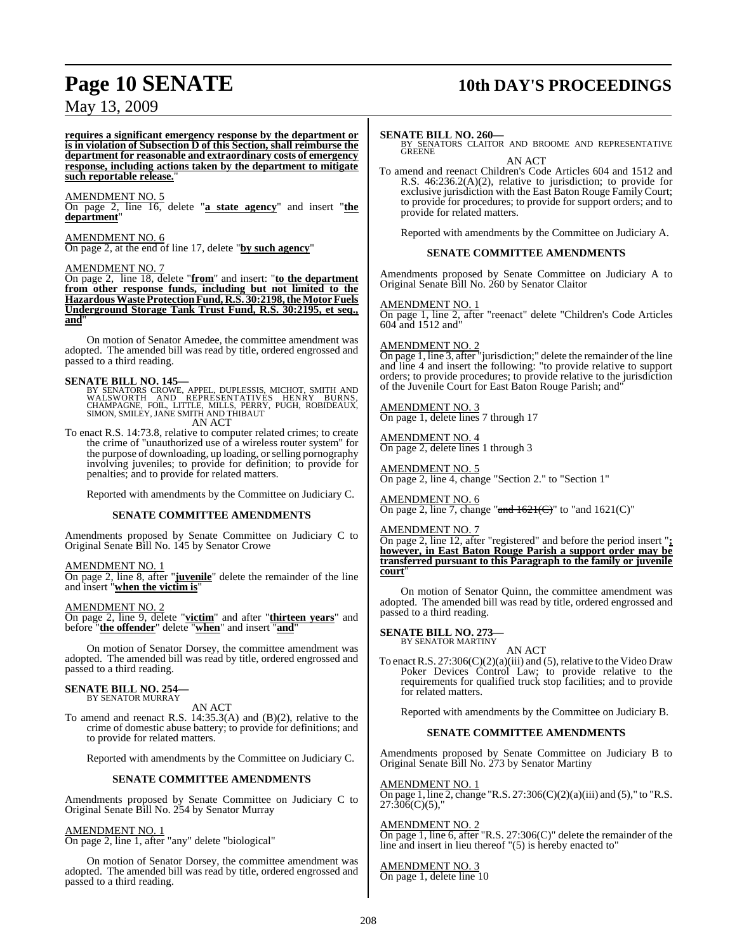# **Page 10 SENATE** 10th DAY'S PROCEEDINGS

### May 13, 2009

**requires a significant emergency response by the department or is in violation of Subsection D of this Section, shall reimburse the department for reasonable and extraordinary costs of emergency response, including actions taken by the department to mitigate such reportable release.**"

#### AMENDMENT NO. 5

On page 2, line 16, delete "**a state agency**" and insert "**the department**"

### AMENDMENT NO. 6

On page 2, at the end of line 17, delete "**by such agency**"

#### AMENDMENT NO. 7

On page 2, line 18, delete "**from**" and insert: "**to the department from other response funds, including but not limited to the HazardousWasteProtectionFund, R.S. 30:2198,theMotorFuels Underground Storage Tank Trust Fund, R.S. 30:2195, et seq., and**"

On motion of Senator Amedee, the committee amendment was adopted. The amended bill was read by title, ordered engrossed and passed to a third reading.

#### **SENATE BILL NO. 145—**

BY SENATORS CROWE, APPEL, DUPLESSIS, MICHOT, SMITH AND WALSWORTH AND REPRESENTATIVES HENRY BURNS,<br>CHAMPAGNE, FOIL, LITTLE, MILLS, PERRY, PUGH, ROBIDEAUX,<br>SIMON, SMILEY, JANE SMITH AND THIBAUT<br>AN ACT

To enact R.S. 14:73.8, relative to computer related crimes; to create the crime of "unauthorized use of a wireless router system" for the purpose of downloading, up loading, or selling pornography involving juveniles; to provide for definition; to provide for penalties; and to provide for related matters.

Reported with amendments by the Committee on Judiciary C.

#### **SENATE COMMITTEE AMENDMENTS**

Amendments proposed by Senate Committee on Judiciary C to Original Senate Bill No. 145 by Senator Crowe

#### AMENDMENT NO. 1

On page 2, line 8, after "**juvenile**" delete the remainder of the line and insert "**when the victim is**"

AMENDMENT NO. 2

On page 2, line 9, delete "**victim**" and after "**thirteen years**" and before "**the offender**" delete "**when**" and insert "**and**"

On motion of Senator Dorsey, the committee amendment was adopted. The amended bill was read by title, ordered engrossed and passed to a third reading.

### **SENATE BILL NO. 254—** BY SENATOR MURRAY

AN ACT

To amend and reenact R.S. 14:35.3(A) and (B)(2), relative to the crime of domestic abuse battery; to provide for definitions; and to provide for related matters.

Reported with amendments by the Committee on Judiciary C.

#### **SENATE COMMITTEE AMENDMENTS**

Amendments proposed by Senate Committee on Judiciary C to Original Senate Bill No. 254 by Senator Murray

#### AMENDMENT NO. 1

On page 2, line 1, after "any" delete "biological"

On motion of Senator Dorsey, the committee amendment was adopted. The amended bill was read by title, ordered engrossed and passed to a third reading.

**SENATE BILL NO. 260—** BY SENATORS CLAITOR AND BROOME AND REPRESENTATIVE **GREENE** AN ACT

To amend and reenact Children's Code Articles 604 and 1512 and R.S. 46:236.2(A)(2), relative to jurisdiction; to provide for exclusive jurisdiction with the East Baton Rouge Family Court; to provide for procedures; to provide for support orders; and to provide for related matters.

Reported with amendments by the Committee on Judiciary A.

#### **SENATE COMMITTEE AMENDMENTS**

Amendments proposed by Senate Committee on Judiciary A to Original Senate Bill No. 260 by Senator Claitor

#### AMENDMENT NO. 1

On page 1, line 2, after "reenact" delete "Children's Code Articles 604 and 1512 and"

#### AMENDMENT NO. 2

On page 1, line 3, after "jurisdiction;" delete the remainder of the line and line 4 and insert the following: "to provide relative to support orders; to provide procedures; to provide relative to the jurisdiction of the Juvenile Court for East Baton Rouge Parish; and"

#### AMENDMENT NO. 3

On page 1, delete lines 7 through 17

AMENDMENT NO. 4 On page 2, delete lines 1 through 3

### AMENDMENT NO. 5

On page 2, line 4, change "Section 2." to "Section 1"

AMENDMENT NO. 6 On page 2, line 7, change "and  $1621^{\circ}$ " to "and  $1621^{\circ}$ "

#### AMENDMENT NO. 7

On page 2, line 12, after "registered" and before the period insert "**; however, in East Baton Rouge Parish a support order may be transferred pursuant to this Paragraph to the family or juvenile court**"

On motion of Senator Quinn, the committee amendment was adopted. The amended bill was read by title, ordered engrossed and passed to a third reading.

**SENATE BILL NO. 273—** BY SENATOR MARTINY

AN ACT

To enactR.S. 27:306(C)(2)(a)(iii) and (5), relative to the Video Draw Poker Devices Control Law; to provide relative to the requirements for qualified truck stop facilities; and to provide for related matters.

Reported with amendments by the Committee on Judiciary B.

#### **SENATE COMMITTEE AMENDMENTS**

Amendments proposed by Senate Committee on Judiciary B to Original Senate Bill No. 273 by Senator Martiny

AMENDMENT NO. 1 On page 1, line 2, change "R.S. 27:306(C)(2)(a)(iii) and (5)," to "R.S.  $27:\overline{306}(C)(5),$ "

#### AMENDMENT NO. 2

On page 1, line 6, after "R.S. 27:306(C)" delete the remainder of the line and insert in lieu thereof "(5) is hereby enacted to"

#### AMENDMENT NO. 3 On page 1, delete line 10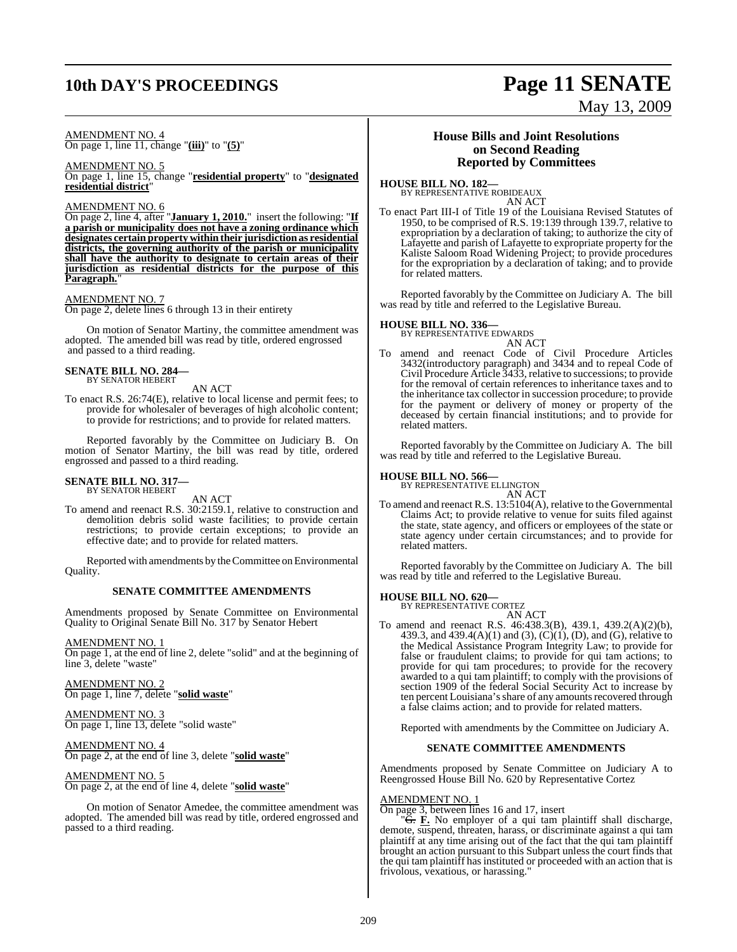# **10th DAY'S PROCEEDINGS Page 11 SENATE**

#### AMENDMENT NO. 4 On page 1, line 11, change "**(iii)**" to "**(5)**"

AMENDMENT NO. 5 On page 1, line 15, change "**residential property**" to "**designated residential district**"

#### AMENDMENT NO. 6

On page 2, line 4, after "**January 1, 2010.**" insert the following: "**If a parish or municipality does not have a zoning ordinance which designates certain property within their jurisdiction as residential districts, the governing authority of the parish or municipality shall have the authority to designate to certain areas of their jurisdiction as residential districts for the purpose of this** Paragraph.

#### AMENDMENT NO. 7

On page 2, delete lines 6 through 13 in their entirety

On motion of Senator Martiny, the committee amendment was adopted. The amended bill was read by title, ordered engrossed and passed to a third reading.

#### **SENATE BILL NO. 284—** BY SENATOR HEBERT

AN ACT

To enact R.S. 26:74(E), relative to local license and permit fees; to provide for wholesaler of beverages of high alcoholic content; to provide for restrictions; and to provide for related matters.

Reported favorably by the Committee on Judiciary B. On motion of Senator Martiny, the bill was read by title, ordered engrossed and passed to a third reading.

#### **SENATE BILL NO. 317—** BY SENATOR HEBERT

AN ACT

To amend and reenact R.S. 30:2159.1, relative to construction and demolition debris solid waste facilities; to provide certain restrictions; to provide certain exceptions; to provide an effective date; and to provide for related matters.

Reported with amendments by the Committee on Environmental Quality.

#### **SENATE COMMITTEE AMENDMENTS**

Amendments proposed by Senate Committee on Environmental Quality to Original Senate Bill No. 317 by Senator Hebert

#### AMENDMENT NO. 1

On page 1, at the end of line 2, delete "solid" and at the beginning of line 3, delete "waste"

AMENDMENT NO. 2 On page 1, line 7, delete "**solid waste**"

AMENDMENT NO. 3 On page 1, line 13, delete "solid waste"

#### AMENDMENT NO. 4 On page 2, at the end of line 3, delete "**solid waste**"

#### AMENDMENT NO. 5

On page 2, at the end of line 4, delete "**solid waste**"

On motion of Senator Amedee, the committee amendment was adopted. The amended bill was read by title, ordered engrossed and passed to a third reading.

#### **House Bills and Joint Resolutions on Second Reading Reported by Committees**

# **HOUSE BILL NO. 182—** BY REPRESENTATIVE ROBIDEAUX

AN ACT

To enact Part III-I of Title 19 of the Louisiana Revised Statutes of 1950, to be comprised of R.S. 19:139 through 139.7, relative to expropriation by a declaration of taking; to authorize the city of Lafayette and parish of Lafayette to expropriate property for the Kaliste Saloom Road Widening Project; to provide procedures for the expropriation by a declaration of taking; and to provide for related matters.

Reported favorably by the Committee on Judiciary A. The bill was read by title and referred to the Legislative Bureau.

# **HOUSE BILL NO. 336—** BY REPRESENTATIVE EDWARDS

AN ACT To amend and reenact Code of Civil Procedure Articles 3432(introductory paragraph) and 3434 and to repeal Code of Civil Procedure Article 3433, relative to successions; to provide for the removal of certain references to inheritance taxes and to the inheritance tax collector in succession procedure; to provide for the payment or delivery of money or property of the deceased by certain financial institutions; and to provide for related matters.

Reported favorably by the Committee on Judiciary A. The bill was read by title and referred to the Legislative Bureau.

### **HOUSE BILL NO. 566—** BY REPRESENTATIVE ELLINGTON

AN ACT

To amend and reenact R.S. 13:5104(A), relative to the Governmental Claims Act; to provide relative to venue for suits filed against the state, state agency, and officers or employees of the state or state agency under certain circumstances; and to provide for related matters.

Reported favorably by the Committee on Judiciary A. The bill was read by title and referred to the Legislative Bureau.

#### **HOUSE BILL NO. 620—**

BY REPRESENTATIVE CORTEZ AN ACT

To amend and reenact R.S. 46:438.3(B), 439.1, 439.2(A)(2)(b), 439.3, and 439.4(A)(1) and (3), (C)(1), (D), and (G), relative to the Medical Assistance Program Integrity Law; to provide for false or fraudulent claims; to provide for qui tam actions; to provide for qui tam procedures; to provide for the recovery awarded to a qui tam plaintiff; to comply with the provisions of section 1909 of the federal Social Security Act to increase by ten percent Louisiana's share of any amounts recovered through a false claims action; and to provide for related matters.

Reported with amendments by the Committee on Judiciary A.

#### **SENATE COMMITTEE AMENDMENTS**

Amendments proposed by Senate Committee on Judiciary A to Reengrossed House Bill No. 620 by Representative Cortez

#### AMENDMENT NO. 1

On page 3, between lines 16 and 17, insert

"G. **F.** No employer of a qui tam plaintiff shall discharge, demote, suspend, threaten, harass, or discriminate against a qui tam plaintiff at any time arising out of the fact that the qui tam plaintiff brought an action pursuant to this Subpart unless the court finds that the qui tam plaintiff has instituted or proceeded with an action that is frivolous, vexatious, or harassing."

# May 13, 2009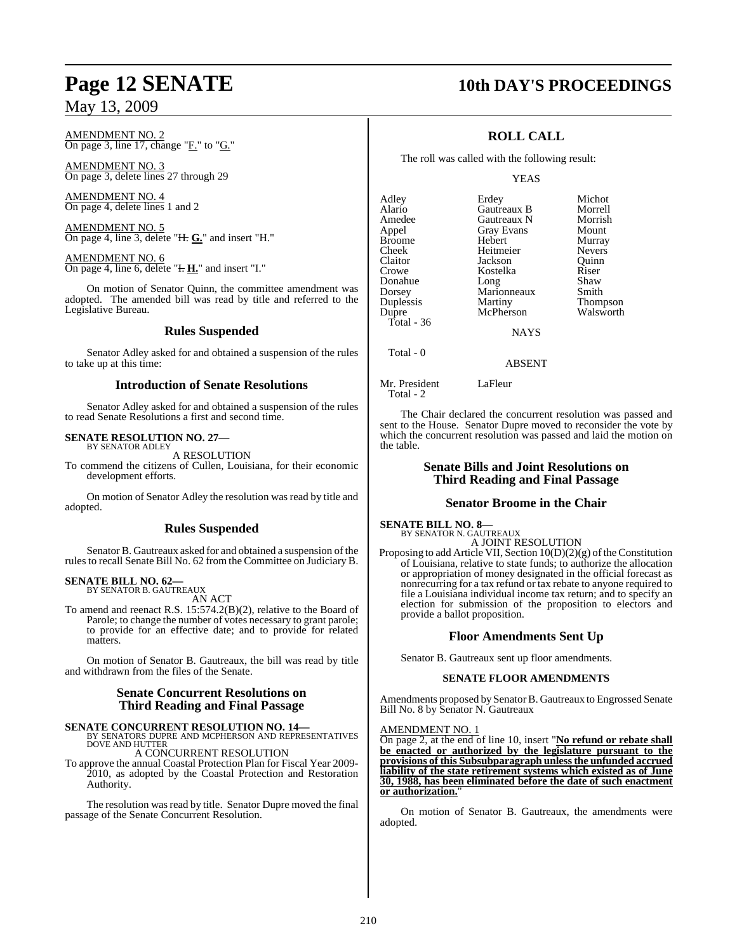AMENDMENT NO. 2 On page 3, line 17, change "F." to "G."

AMENDMENT NO. 3 On page 3, delete lines 27 through 29

AMENDMENT NO. 4 On page 4, delete lines 1 and 2

AMENDMENT NO. 5 On page 4, line 3, delete "H. **G.**" and insert "H."

AMENDMENT NO. 6 On page 4, line 6, delete "**H. H.**" and insert "I."

On motion of Senator Quinn, the committee amendment was adopted. The amended bill was read by title and referred to the Legislative Bureau.

### **Rules Suspended**

Senator Adley asked for and obtained a suspension of the rules to take up at this time:

#### **Introduction of Senate Resolutions**

Senator Adley asked for and obtained a suspension of the rules to read Senate Resolutions a first and second time.

#### **SENATE RESOLUTION NO. 27—** BY SENATOR ADLEY

A RESOLUTION

To commend the citizens of Cullen, Louisiana, for their economic development efforts.

On motion of Senator Adley the resolution was read by title and adopted.

### **Rules Suspended**

Senator B. Gautreaux asked for and obtained a suspension of the rules to recall Senate Bill No. 62 from the Committee on Judiciary B.

#### **SENATE BILL NO. 62—** BY SENATOR B. GAUTREAUX

AN ACT

To amend and reenact R.S. 15:574.2(B)(2), relative to the Board of Parole; to change the number of votes necessary to grant parole; to provide for an effective date; and to provide for related matters.

On motion of Senator B. Gautreaux, the bill was read by title and withdrawn from the files of the Senate.

#### **Senate Concurrent Resolutions on Third Reading and Final Passage**

## **SENATE CONCURRENT RESOLUTION NO. 14—** BY SENATORS DUPRE AND MCPHERSON AND REPRESENTATIVES

DOVE AND HUTTER

A CONCURRENT RESOLUTION

To approve the annual Coastal Protection Plan for Fiscal Year 2009- 2010, as adopted by the Coastal Protection and Restoration Authority.

The resolution was read by title. Senator Dupre moved the final passage of the Senate Concurrent Resolution.

## **Page 12 SENATE 10th DAY'S PROCEEDINGS**

### **ROLL CALL**

The roll was called with the following result:

#### YEAS

| Adley         | Erdey             | Michot        |
|---------------|-------------------|---------------|
| Alario        | Gautreaux B       | Morrell       |
| Amedee        | Gautreaux N       | Morrish       |
| Appel         | <b>Gray Evans</b> | Mount         |
| <b>Broome</b> | Hebert            | Murray        |
| Cheek         | Heitmeier         | <b>Nevers</b> |
| Claitor       | Jackson           | Ouinn         |
| Crowe         | Kostelka          | Riser         |
| Donahue       | Long              | Shaw          |
| Dorsey        | Marionneaux       | Smith         |
| Duplessis     | Martiny           | Thompson      |
| Dupre         | McPherson         | Walsworth     |
| Total - 36    |                   |               |
|               | NAVC              |               |

NAYS

ABSENT

Mr. President LaFleur Total - 2

Total - 0

The Chair declared the concurrent resolution was passed and sent to the House. Senator Dupre moved to reconsider the vote by which the concurrent resolution was passed and laid the motion on the table.

### **Senate Bills and Joint Resolutions on Third Reading and Final Passage**

#### **Senator Broome in the Chair**

**SENATE BILL NO. 8—**

BY SENATOR N. GAUTREAUX A JOINT RESOLUTION

Proposing to add Article VII, Section  $10(D)(2)(g)$  of the Constitution of Louisiana, relative to state funds; to authorize the allocation or appropriation of money designated in the official forecast as nonrecurring for a tax refund or tax rebate to anyone required to file a Louisiana individual income tax return; and to specify an election for submission of the proposition to electors and provide a ballot proposition.

#### **Floor Amendments Sent Up**

Senator B. Gautreaux sent up floor amendments.

#### **SENATE FLOOR AMENDMENTS**

Amendments proposed by Senator B. Gautreaux to Engrossed Senate Bill No. 8 by Senator N. Gautreaux

#### AMENDMENT NO. 1

On page 2, at the end of line 10, insert "**No refund or rebate shall be enacted or authorized by the legislature pursuant to the provisions of this Subsubparagraph unlessthe unfunded accrued liability of the state retirement systems which existed as of June 30, 1988, has been eliminated before the date of such enactment or authorization.** 

On motion of Senator B. Gautreaux, the amendments were adopted.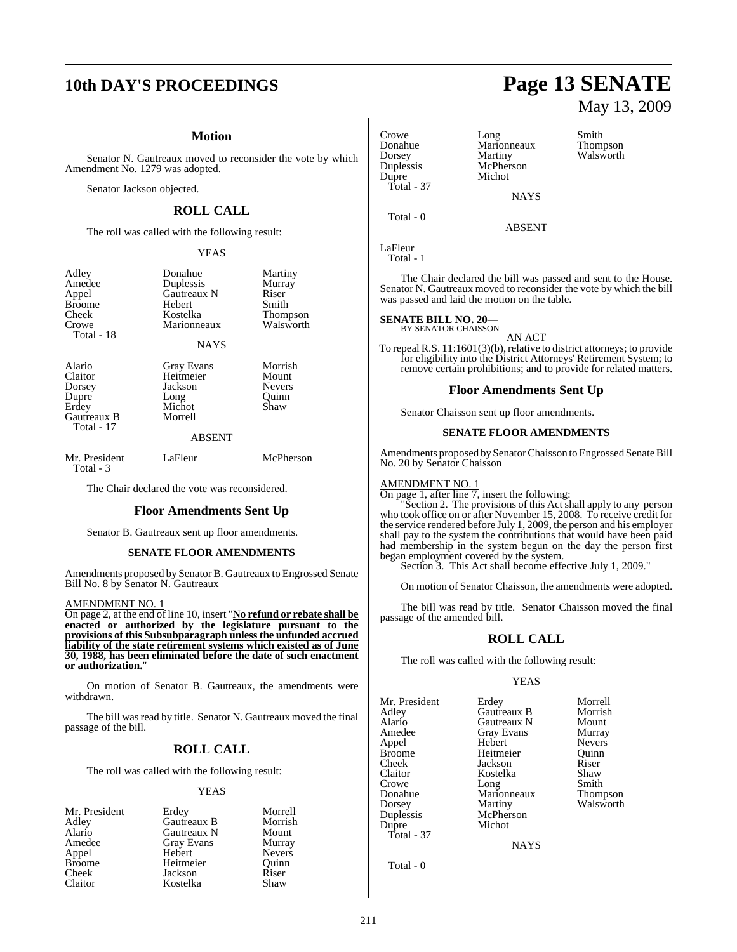# **10th DAY'S PROCEEDINGS Page 13 SENATE**

#### **Motion**

Senator N. Gautreaux moved to reconsider the vote by which Amendment No. 1279 was adopted.

Senator Jackson objected.

### **ROLL CALL**

The roll was called with the following result:

#### YEAS

| Adley<br>Amedee<br>Appel<br><b>Broome</b><br>Cheek<br>Crowe<br>Total - 18  | Donahue<br>Duplessis<br>Gautreaux N<br>Hebert<br>Kostelka<br>Marionneaux<br>NAYS | Martiny<br>Murray<br>Riser<br>Smith<br>Thompson<br>Walsworth |
|----------------------------------------------------------------------------|----------------------------------------------------------------------------------|--------------------------------------------------------------|
| Alario<br>Claitor<br>Dorsey<br>Dupre<br>Erdey<br>Gautreaux B<br>Total - 17 | Gray Evans<br>Heitmeier<br>Jackson<br>Long<br>Michot<br>Morrell<br><b>ABSENT</b> | Morrish<br>Mount<br>Nevers<br>Ouinn<br>Shaw                  |
| Mr. President<br>Total - 3                                                 | LaFleur                                                                          | McPherson                                                    |

The Chair declared the vote was reconsidered.

#### **Floor Amendments Sent Up**

Senator B. Gautreaux sent up floor amendments.

#### **SENATE FLOOR AMENDMENTS**

Amendments proposed by Senator B. Gautreaux to Engrossed Senate Bill No. 8 by Senator N. Gautreaux

AMENDMENT NO. 1

On page 2, at the end of line 10, insert "**No refund or rebate shall be enacted or authorized by the legislature pursuant to the provisions of this Subsubparagraph unless the unfunded accrued liability of the state retirement systems which existed as of June 30, 1988, has been eliminated before the date of such enactment or authorization.**"

On motion of Senator B. Gautreaux, the amendments were withdrawn.

The bill was read by title. Senator N. Gautreaux moved the final passage of the bill.

#### **ROLL CALL**

The roll was called with the following result:

#### YEAS

| Mr. President | Erdey       | Morrell       |
|---------------|-------------|---------------|
| Adley         | Gautreaux B | Morrish       |
| Alario        | Gautreaux N | Mount         |
| Amedee        | Gray Evans  | Murray        |
| Appel         | Hebert      | <b>Nevers</b> |
| <b>Broome</b> | Heitmeier   | Quinn         |
| Cheek         | Jackson     | Riser         |
| Claitor       | Kostelka    | Shaw          |

### Crowe Long Smith **Duplessis** McPher<br>Dupre Michot Dupre Total - 37

Donahue Marionneaux Thompson Dorsey Martiny Walsworth<br>
Duplessis McPherson

ABSENT

LaFleur Total - 1

Total - 0

The Chair declared the bill was passed and sent to the House. Senator N. Gautreaux moved to reconsider the vote by which the bill was passed and laid the motion on the table.

**NAYS** 

### **SENATE BILL NO. 20—** BY SENATOR CHAISSON

AN ACT

To repeal R.S.  $11:1601(3)(b)$ , relative to district attorneys; to provide for eligibility into the District Attorneys' Retirement System; to remove certain prohibitions; and to provide for related matters.

#### **Floor Amendments Sent Up**

Senator Chaisson sent up floor amendments.

#### **SENATE FLOOR AMENDMENTS**

Amendments proposed bySenatorChaisson to Engrossed Senate Bill No. 20 by Senator Chaisson

#### AMENDMENT NO. 1

On page 1, after line 7, insert the following:

"Section 2. The provisions of this Act shall apply to any person who took office on or after November 15, 2008. To receive credit for the service rendered before July 1, 2009, the person and his employer shall pay to the system the contributions that would have been paid had membership in the system begun on the day the person first began employment covered by the system.

Section 3. This Act shall become effective July 1, 2009."

On motion of Senator Chaisson, the amendments were adopted.

The bill was read by title. Senator Chaisson moved the final passage of the amended bill.

#### **ROLL CALL**

The roll was called with the following result:

#### YEAS

Mr. President Erdey Morrell<br>Adley Gautreaux B Morrish Adley Gautreaux B Morrish Alario Gautreaux N Mount Amedee Gray Evans Murray<br>
Appel Hebert Nevers Appel Hebert Nevers Cheek Jackson Riser Claitor Kostelka Shaw Crowe Long Smith Donahue Marionneaux Thompson Dorsey Martiny Walsworth<br>
Duplessis McPherson Dupre Michot Total - 37

Heitmeier McPherson<br>Michot

**NAYS** 

Total - 0

# May 13, 2009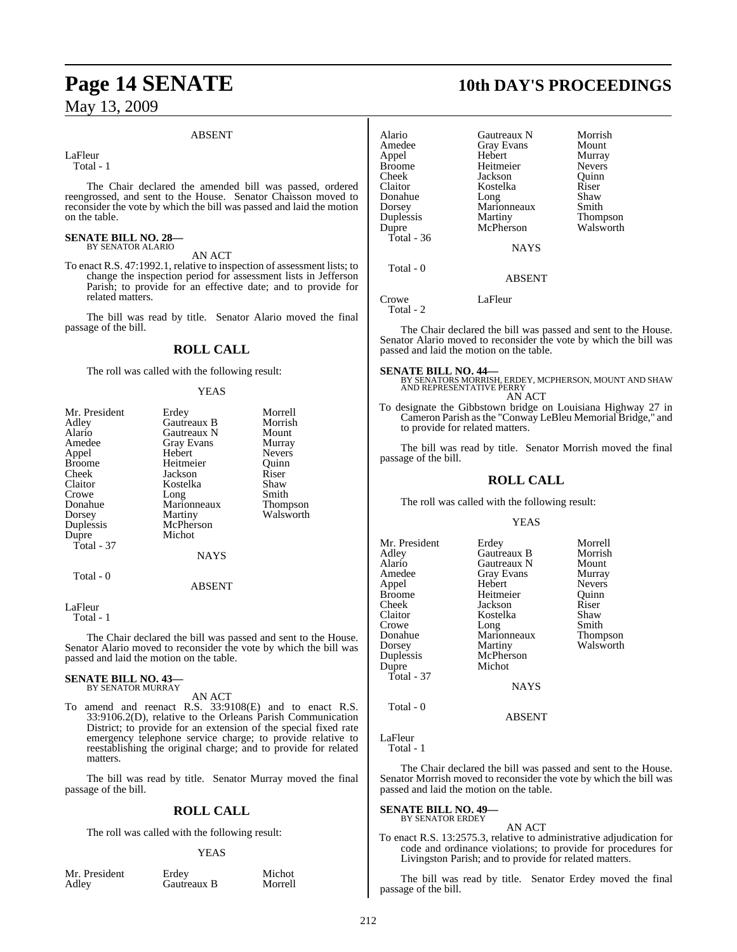#### ABSENT

LaFleur

Total - 1

The Chair declared the amended bill was passed, ordered reengrossed, and sent to the House. Senator Chaisson moved to reconsider the vote by which the bill was passed and laid the motion on the table.

#### **SENATE BILL NO. 28—** BY SENATOR ALARIO

AN ACT

To enact R.S. 47:1992.1, relative to inspection of assessment lists; to change the inspection period for assessment lists in Jefferson Parish; to provide for an effective date; and to provide for related matters.

The bill was read by title. Senator Alario moved the final passage of the bill.

### **ROLL CALL**

The roll was called with the following result:

#### YEAS

| Mr. President | Erdey             | Morrell       |
|---------------|-------------------|---------------|
| Adley         | Gautreaux B       | Morrish       |
| Alario        | Gautreaux N       | Mount         |
| Amedee        | <b>Gray Evans</b> | Murray        |
| Appel         | Hebert            | <b>Nevers</b> |
| <b>Broome</b> | Heitmeier         | Ouinn         |
| Cheek         | Jackson           | Riser         |
| Claitor       | Kostelka          | Shaw          |
| Crowe         | Long              | Smith         |
| Donahue       | Marionneaux       | Thompson      |
| Dorsey        | Martiny           | Walsworth     |
| Duplessis     | McPherson         |               |
| Dupre         | Michot            |               |
| Total - 37    |                   |               |
|               | <b>NAYS</b>       |               |
| Total - 0     |                   |               |
|               | <b>ABSENT</b>     |               |

LaFleur

Total - 1

The Chair declared the bill was passed and sent to the House. Senator Alario moved to reconsider the vote by which the bill was passed and laid the motion on the table.

## **SENATE BILL NO. 43—** BY SENATOR MURRAY

AN ACT

To amend and reenact R.S. 33:9108(E) and to enact R.S. 33:9106.2(D), relative to the Orleans Parish Communication District; to provide for an extension of the special fixed rate emergency telephone service charge; to provide relative to reestablishing the original charge; and to provide for related matters.

The bill was read by title. Senator Murray moved the final passage of the bill.

#### **ROLL CALL**

The roll was called with the following result:

#### YEAS

Mr. President Erdey Michot<br>Adley Gautreaux B Morrell Gautreaux B

# **Page 14 SENATE 10th DAY'S PROCEEDINGS**

| Alario        | Gautreaux N   | Morrish       |
|---------------|---------------|---------------|
| Amedee        | Gray Evans    | Mount         |
| Appel         | Hebert        | Murray        |
| <b>Broome</b> | Heitmeier     | <b>Nevers</b> |
| Cheek         | Jackson       | Ouinn         |
| Claitor       | Kostelka      | Riser         |
| Donahue       | Long          | Shaw          |
| Dorsey        | Marionneaux   | Smith         |
| Duplessis     | Martiny       | Thompson      |
| Dupre         | McPherson     | Walsworth     |
| Total - $36$  |               |               |
|               | <b>NAYS</b>   |               |
| Total - 0     |               |               |
|               | <b>ABSENT</b> |               |
|               |               |               |

Crowe LaFleur Total - 2

The Chair declared the bill was passed and sent to the House. Senator Alario moved to reconsider the vote by which the bill was passed and laid the motion on the table.

**SENATE BILL NO. 44—**<br>BY SENATORS MORRISH, ERDEY, MCPHERSON, MOUNT AND SHAW<br>AND REPRESENTATIVE PERRY AN ACT

To designate the Gibbstown bridge on Louisiana Highway 27 in Cameron Parish asthe "Conway LeBleu Memorial Bridge," and to provide for related matters.

The bill was read by title. Senator Morrish moved the final passage of the bill.

#### **ROLL CALL**

The roll was called with the following result:

#### YEAS

| Mr. President<br>Adley<br>Alario<br>Amedee<br>Appel<br>Broome<br>Cheek<br>Claitor<br>Crowe<br>Donahue<br>Dorsey<br>Duplessis<br>Dupre<br>Total - 37 | Erdey<br>Gautreaux B<br>Gautreaux N<br>Gray Evans<br>Hebert<br>Heitmeier<br>Jackson<br>Kostelka<br>Long<br>Marionneaux<br>Martiny<br>McPherson<br>Michot<br><b>NAYS</b> | Morrell<br>Morrish<br>Mount<br>Murray<br><b>Nevers</b><br>Ouinn<br>Riser<br>Shaw<br>Smith<br>Thompson<br>Walsworth |
|-----------------------------------------------------------------------------------------------------------------------------------------------------|-------------------------------------------------------------------------------------------------------------------------------------------------------------------------|--------------------------------------------------------------------------------------------------------------------|
| Total - 0                                                                                                                                           |                                                                                                                                                                         |                                                                                                                    |

ABSENT

LaFleur Total - 1

The Chair declared the bill was passed and sent to the House. Senator Morrish moved to reconsider the vote by which the bill was passed and laid the motion on the table.

**SENATE BILL NO. 49—** BY SENATOR ERDEY

AN ACT

To enact R.S. 13:2575.3, relative to administrative adjudication for code and ordinance violations; to provide for procedures for Livingston Parish; and to provide for related matters.

The bill was read by title. Senator Erdey moved the final passage of the bill.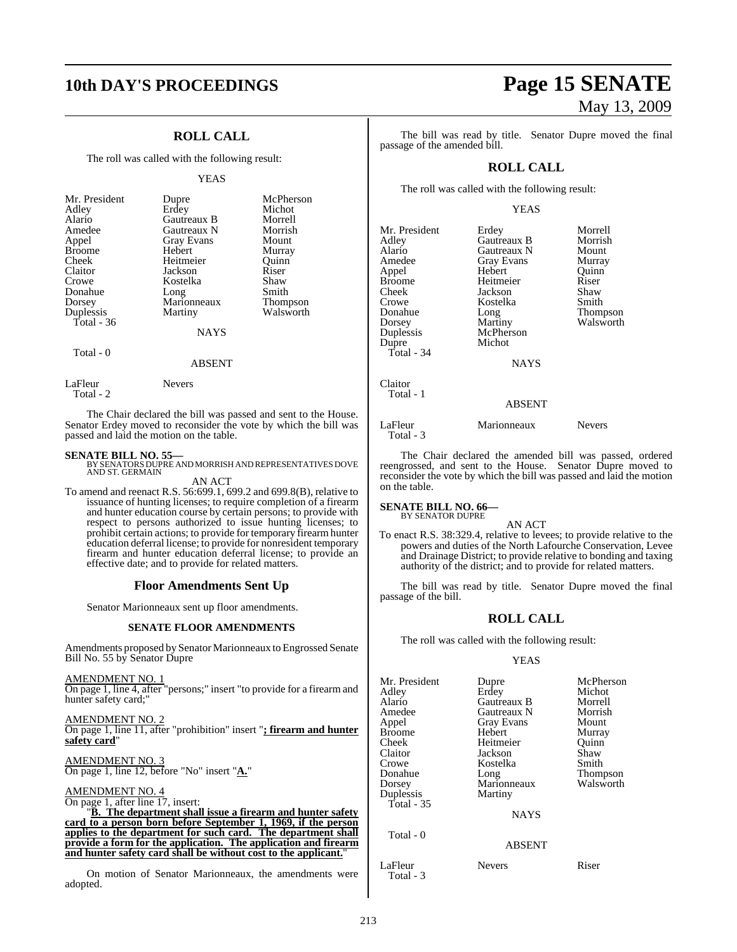# **10th DAY'S PROCEEDINGS Page 15 SENATE**

### **ROLL CALL**

The roll was called with the following result:

#### YEAS

| Mr. President<br>Adley<br>Alario<br>Amedee<br>Appel<br><b>Broome</b><br>Cheek<br>Claitor<br>Crowe<br>Donahue<br>Dorsey<br>Duplessis | Dupre<br>Erdey<br>Gautreaux B<br>Gautreaux N<br><b>Gray Evans</b><br>Hebert<br>Heitmeier<br>Jackson<br>Kostelka<br>Long<br>Marionneaux<br>Martiny | McPherson<br>Michot<br>Morrell<br>Morrish<br>Mount<br>Murray<br>Ouinn<br>Riser<br>Shaw<br>Smith<br>Thompson<br>Walsworth |
|-------------------------------------------------------------------------------------------------------------------------------------|---------------------------------------------------------------------------------------------------------------------------------------------------|--------------------------------------------------------------------------------------------------------------------------|
| Total $-36$                                                                                                                         |                                                                                                                                                   |                                                                                                                          |
|                                                                                                                                     | <b>NAYS</b>                                                                                                                                       |                                                                                                                          |
| Total - 0                                                                                                                           |                                                                                                                                                   |                                                                                                                          |

#### ABSENT

LaFleur Nevers

Total - 2

The Chair declared the bill was passed and sent to the House. Senator Erdey moved to reconsider the vote by which the bill was passed and laid the motion on the table.

**SENATE BILL NO. 55—** BY SENATORSDUPRE AND MORRISH AND REPRESENTATIVES DOVE AND ST. GERMAIN

AN ACT To amend and reenact R.S. 56:699.1, 699.2 and 699.8(B), relative to

issuance of hunting licenses; to require completion of a firearm and hunter education course by certain persons; to provide with respect to persons authorized to issue hunting licenses; to prohibit certain actions; to provide for temporary firearmhunter education deferral license; to provide for nonresident temporary firearm and hunter education deferral license; to provide an effective date; and to provide for related matters.

#### **Floor Amendments Sent Up**

Senator Marionneaux sent up floor amendments.

#### **SENATE FLOOR AMENDMENTS**

Amendments proposed by Senator Marionneaux to Engrossed Senate Bill No. 55 by Senator Dupre

AMENDMENT NO. 1 On page 1, line 4, after "persons;" insert "to provide for a firearm and hunter safety card;"

AMENDMENT NO. 2 On page 1, line 11, after "prohibition" insert "**; firearm and hunter safety card**"

AMENDMENT NO. 3 On page 1, line 12, before "No" insert "**A.**"

#### AMENDMENT NO. 4

On page 1, after line 17, insert: "**B. The department shall issue a firearm and hunter safety card to a person born before September 1, 1969, if the person applies to the department for such card. The department shall provide a form for the application. The application and firearm and hunter safety card shall be without cost to the applicant.**"

On motion of Senator Marionneaux, the amendments were adopted.

# May 13, 2009

The bill was read by title. Senator Dupre moved the final passage of the amended bill.

#### **ROLL CALL**

The roll was called with the following result:

#### YEAS

| Mr. President<br>Adley<br>Alario<br>Amedee<br>Appel<br><b>Broome</b><br>Cheek<br>Crowe<br>Donahue<br>Dorsey<br>Duplessis<br>Dupre<br>Total - $34$ | Erdey<br>Gautreaux B<br>Gautreaux N<br><b>Gray Evans</b><br>Hebert<br>Heitmeier<br>Jackson<br>Kostelka<br>Long<br>Martiny<br>McPherson<br>Michot<br><b>NAYS</b> | Morrell<br>Morrish<br>Mount<br>Murray<br>Quinn<br>Riser<br>Shaw<br>Smith<br>Thompson<br>Walsworth |
|---------------------------------------------------------------------------------------------------------------------------------------------------|-----------------------------------------------------------------------------------------------------------------------------------------------------------------|---------------------------------------------------------------------------------------------------|
| Claitor<br>Total - 1<br>LaFleur<br>Total - 3                                                                                                      | <b>ABSENT</b><br>Marionneaux                                                                                                                                    | Nevers                                                                                            |

The Chair declared the amended bill was passed, ordered reengrossed, and sent to the House. Senator Dupre moved to reconsider the vote by which the bill was passed and laid the motion on the table.

#### **SENATE BILL NO. 66—** BY SENATOR DUPRE

AN ACT

To enact R.S. 38:329.4, relative to levees; to provide relative to the powers and duties of the North Lafourche Conservation, Levee and Drainage District; to provide relative to bonding and taxing authority of the district; and to provide for related matters.

The bill was read by title. Senator Dupre moved the final passage of the bill.

#### **ROLL CALL**

The roll was called with the following result:

#### YEAS

| Mr. President | Dupre              | McPherson       |
|---------------|--------------------|-----------------|
| Adley         | Erdey              | Michot          |
| Alario        | <b>Gautreaux B</b> | Morrell         |
| Amedee        | Gautreaux N        | Morrish         |
| Appel         | <b>Gray Evans</b>  | Mount           |
| Broome        | Hebert             | Murray          |
| Cheek         | Heitmeier          | Ouinn           |
| Claitor       | Jackson            | Shaw            |
| Crowe         | Kostelka           | Smith           |
| Donahue       | Long               | <b>Thompson</b> |
| Dorsey        | Marionneaux        | Walsworth       |
| Duplessis     | Martiny            |                 |
| Total - 35    |                    |                 |
|               | <b>NAYS</b>        |                 |
| Total - 0     | <b>ABSENT</b>      |                 |
|               |                    |                 |

LaFleur Nevers Riser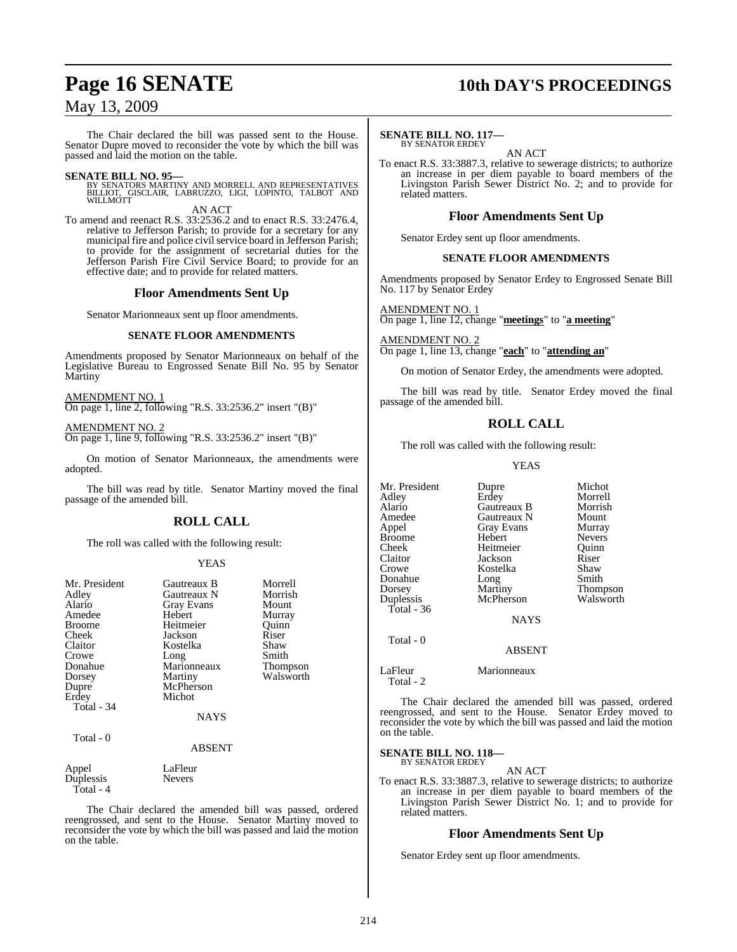# **Page 16 SENATE 10th DAY'S PROCEEDINGS**

### May 13, 2009

The Chair declared the bill was passed sent to the House. Senator Dupre moved to reconsider the vote by which the bill was passed and laid the motion on the table.

**SENATE BILL NO. 95—**<br>BY SENATORS MARTINY AND MORRELL AND REPRESENTATIVES<br>BILLIOT, GISCLAIR, LABRUZZO, LIGI, LOPINTO, TALBOT AND<br>WILLMOTT

AN ACT

To amend and reenact R.S. 33:2536.2 and to enact R.S. 33:2476.4, relative to Jefferson Parish; to provide for a secretary for any municipal fire and police civil service board in Jefferson Parish; to provide for the assignment of secretarial duties for the Jefferson Parish Fire Civil Service Board; to provide for an effective date; and to provide for related matters.

#### **Floor Amendments Sent Up**

Senator Marionneaux sent up floor amendments.

#### **SENATE FLOOR AMENDMENTS**

Amendments proposed by Senator Marionneaux on behalf of the Legislative Bureau to Engrossed Senate Bill No. 95 by Senator Martiny

AMENDMENT NO. 1 On page 1, line 2, following "R.S. 33:2536.2" insert "(B)"

AMENDMENT NO. 2 On page 1, line 9, following "R.S. 33:2536.2" insert "(B)"

On motion of Senator Marionneaux, the amendments were adopted.

The bill was read by title. Senator Martiny moved the final passage of the amended bill.

#### **ROLL CALL**

The roll was called with the following result:

#### YEAS

| Mr. President          | Gautreaux B       | Morrell   |
|------------------------|-------------------|-----------|
| Adley                  | Gautreaux N       | Morrish   |
| Alario                 | <b>Gray Evans</b> | Mount     |
| Amedee                 | Hebert            | Murray    |
| <b>Broome</b>          | Heitmeier         | Ouinn     |
| Cheek                  | Jackson           | Riser     |
| Claitor                | Kostelka          | Shaw      |
| Crowe                  | Long              | Smith     |
| Donahue                | Marionneaux       | Thompson  |
| Dorsey                 | Martiny           | Walsworth |
| Dupre                  | McPherson         |           |
| Erdey                  | Michot            |           |
| Total - 34             |                   |           |
|                        | <b>NAYS</b>       |           |
| Total - 0              |                   |           |
|                        | ABSENT            |           |
| Appel                  | LaFleur           |           |
| Duplessis<br>Total - 4 | <b>Nevers</b>     |           |

The Chair declared the amended bill was passed, ordered reengrossed, and sent to the House. Senator Martiny moved to reconsider the vote by which the bill was passed and laid the motion on the table.

#### **SENATE BILL NO. 117—** BY SENATOR ERDEY

AN ACT

To enact R.S. 33:3887.3, relative to sewerage districts; to authorize an increase in per diem payable to board members of the Livingston Parish Sewer District No. 2; and to provide for related matters.

#### **Floor Amendments Sent Up**

Senator Erdey sent up floor amendments.

#### **SENATE FLOOR AMENDMENTS**

Amendments proposed by Senator Erdey to Engrossed Senate Bill No. 117 by Senator Erdey

AMENDMENT NO. 1

On page 1, line 12, change "**meetings**" to "**a meeting**"

AMENDMENT NO. 2 On page 1, line 13, change "**each**" to "**attending an**"

On motion of Senator Erdey, the amendments were adopted.

The bill was read by title. Senator Erdey moved the final passage of the amended bill.

#### **ROLL CALL**

The roll was called with the following result:

YEAS

| Mr. President           | Dupre       | Michot        |
|-------------------------|-------------|---------------|
| Adley                   | Erdey       | Morrell       |
| Alario                  | Gautreaux B | Morrish       |
| Amedee                  | Gautreaux N | Mount         |
| Appel                   | Gray Evans  | Murray        |
| <b>Broome</b>           | Hebert      | <b>Nevers</b> |
| Cheek                   | Heitmeier   | Quinn         |
| Claitor                 | Jackson     | Riser         |
| Crowe                   | Kostelka    | Shaw          |
| Donahue                 | Long        | Smith         |
| Dorsey                  | Martiny     | Thompson      |
| Duplessis               | McPherson   | Walsworth     |
| Total - 36<br>Total - 0 | <b>NAYS</b> |               |

ABSENT

#### LaFleur Marionneaux

The Chair declared the amended bill was passed, ordered reengrossed, and sent to the House. Senator Erdey moved to reconsider the vote by which the bill was passed and laid the motion on the table.

#### **SENATE BILL NO. 118—** BY SENATOR ERDEY

Total - 2

AN ACT

To enact R.S. 33:3887.3, relative to sewerage districts; to authorize an increase in per diem payable to board members of the Livingston Parish Sewer District No. 1; and to provide for related matters.

#### **Floor Amendments Sent Up**

Senator Erdey sent up floor amendments.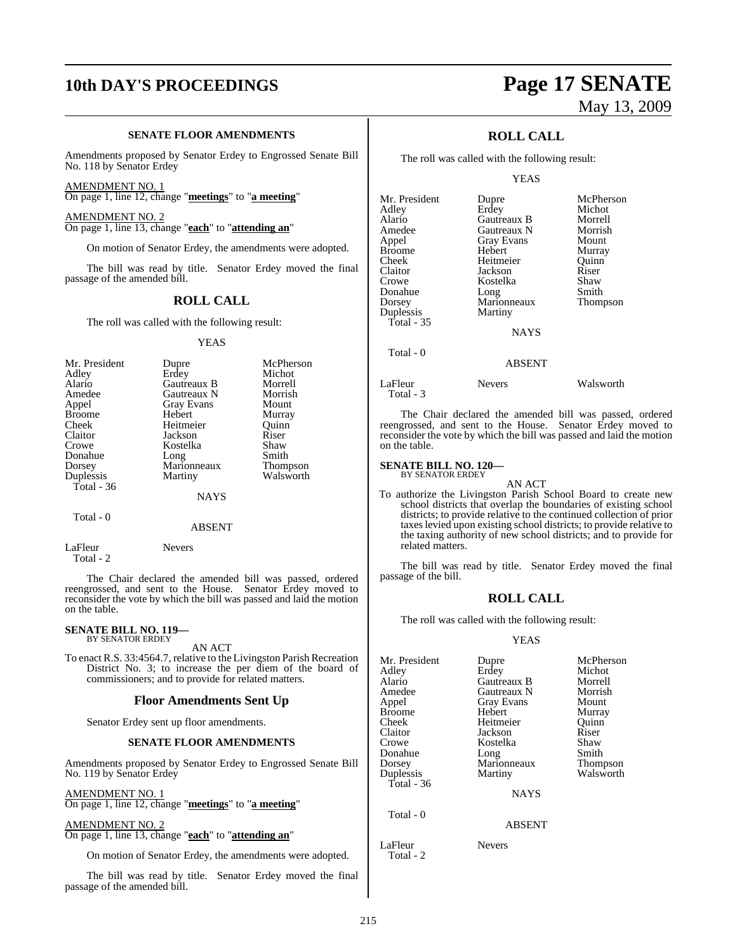# **10th DAY'S PROCEEDINGS Page 17 SENATE**

#### **SENATE FLOOR AMENDMENTS**

Amendments proposed by Senator Erdey to Engrossed Senate Bill No. 118 by Senator Erdey

AMENDMENT NO. 1 On page 1, line 12, change "**meetings**" to "**a meeting**"

AMENDMENT NO. 2 On page 1, line 13, change "**each**" to "**attending an**"

On motion of Senator Erdey, the amendments were adopted.

The bill was read by title. Senator Erdey moved the final passage of the amended bill.

#### **ROLL CALL**

The roll was called with the following result:

#### YEAS

| Mr. President | Dupre       | McPherson |
|---------------|-------------|-----------|
| Adley         | Erdey       | Michot    |
| Alario        | Gautreaux B | Morrell   |
| Amedee        | Gautreaux N | Morrish   |
| Appel         | Gray Evans  | Mount     |
| <b>Broome</b> | Hebert      | Murray    |
| Cheek         | Heitmeier   | Ouinn     |
| Claitor       | Jackson     | Riser     |
| Crowe         | Kostelka    | Shaw      |
| Donahue       | Long        | Smith     |
| Dorsey        | Marionneaux | Thompson  |
| Duplessis     | Martiny     | Walsworth |
| Total - 36    |             |           |
|               | <b>NAYS</b> |           |

#### ABSENT

LaFleur Nevers Total - 2

Total - 0

The Chair declared the amended bill was passed, ordered reengrossed, and sent to the House. Senator Erdey moved to reconsider the vote by which the bill was passed and laid the motion on the table.

### **SENATE BILL NO. 119—** BY SENATOR ERDEY

AN ACT

To enact R.S. 33:4564.7, relative to the Livingston Parish Recreation District No. 3; to increase the per diem of the board of commissioners; and to provide for related matters.

#### **Floor Amendments Sent Up**

Senator Erdey sent up floor amendments.

#### **SENATE FLOOR AMENDMENTS**

Amendments proposed by Senator Erdey to Engrossed Senate Bill No. 119 by Senator Erdey

AMENDMENT NO. 1

On page 1, line 12, change "**meetings**" to "**a meeting**"

AMENDMENT NO. 2 On page 1, line 13, change "**each**" to "**attending an**"

On motion of Senator Erdey, the amendments were adopted.

The bill was read by title. Senator Erdey moved the final passage of the amended bill.

# May 13, 2009

### **ROLL CALL**

The roll was called with the following result:

YEAS

| Mr. President | Dupre             | McPherson |
|---------------|-------------------|-----------|
| Adley         | Erdey             | Michot    |
| Alario        | Gautreaux B       | Morrell   |
| Amedee        | Gautreaux N       | Morrish   |
| Appel         | <b>Gray Evans</b> | Mount     |
| <b>Broome</b> | Hebert            | Murray    |
| Cheek         | Heitmeier         | Ouinn     |
| Claitor       | Jackson           | Riser     |
| Crowe         | Kostelka          | Shaw      |
| Donahue       | Long              | Smith     |
| Dorsey        | Marionneaux       | Thompson  |
| Duplessis     | Martiny           |           |
| Total - 35    |                   |           |
|               | <b>NAYS</b>       |           |
| Total - 0     |                   |           |
|               | ABSENT            |           |

LaFleur Nevers Walsworth Total - 3

The Chair declared the amended bill was passed, ordered reengrossed, and sent to the House. Senator Erdey moved to reconsider the vote by which the bill was passed and laid the motion on the table.

#### **SENATE BILL NO. 120—** BY SENATOR ERDEY

AN ACT To authorize the Livingston Parish School Board to create new school districts that overlap the boundaries of existing school districts; to provide relative to the continued collection of prior taxeslevied upon existing school districts; to provide relative to the taxing authority of new school districts; and to provide for related matters.

The bill was read by title. Senator Erdey moved the final passage of the bill.

#### **ROLL CALL**

The roll was called with the following result:

#### YEAS

| Mr. President<br>Adley<br>Alario<br>Amedee<br>Appel<br><b>Broome</b><br>Cheek<br>Claitor<br>Crowe<br>Donahue<br>Dorsey<br>Duplessis | Dupre<br>Erdey<br>Gautreaux B<br>Gautreaux N<br><b>Gray Evans</b><br>Hebert<br>Heitmeier<br>Jackson<br>Kostelka<br>Long<br>Marionneaux<br>Martiny | McPherson<br>Michot<br>Morrell<br>Morrish<br>Mount<br>Murray<br>Ouinn<br>Riser<br>Shaw<br>Smith<br>Thompson<br>Walsworth |
|-------------------------------------------------------------------------------------------------------------------------------------|---------------------------------------------------------------------------------------------------------------------------------------------------|--------------------------------------------------------------------------------------------------------------------------|
| Total - 36                                                                                                                          | <b>NAYS</b>                                                                                                                                       |                                                                                                                          |
| Total - 0                                                                                                                           | <b>ABSENT</b>                                                                                                                                     |                                                                                                                          |
| LaFleur                                                                                                                             | Nevers                                                                                                                                            |                                                                                                                          |

Total - 2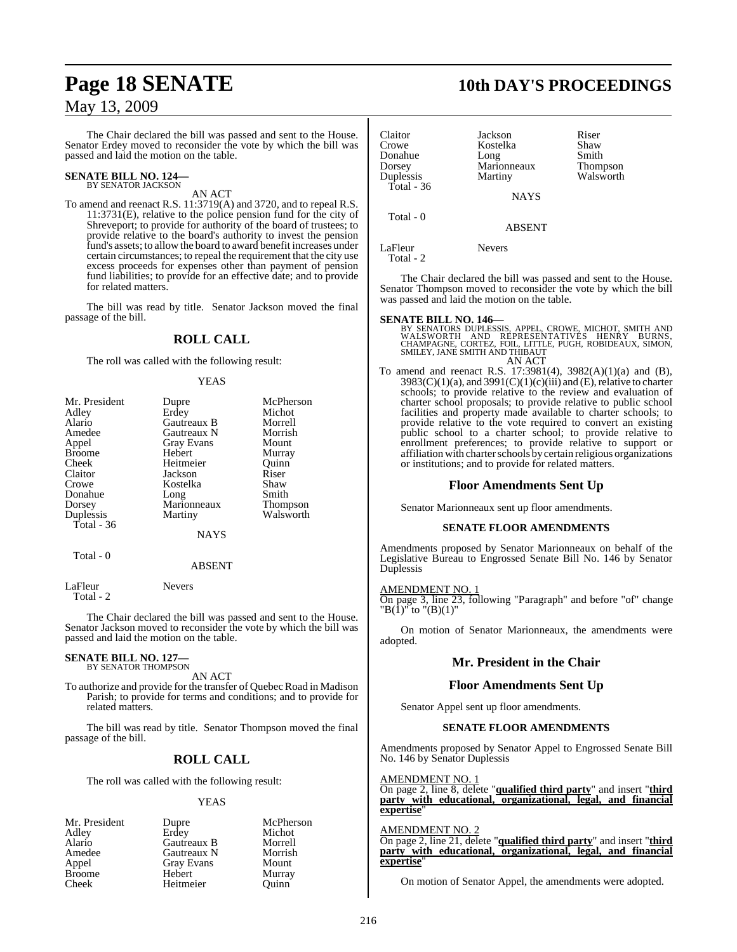The Chair declared the bill was passed and sent to the House. Senator Erdey moved to reconsider the vote by which the bill was passed and laid the motion on the table.

### **SENATE BILL NO. 124—** BY SENATOR JACKSON

AN ACT

To amend and reenact R.S. 11:3719(A) and 3720, and to repeal R.S. 11:3731(E), relative to the police pension fund for the city of Shreveport; to provide for authority of the board of trustees; to provide relative to the board's authority to invest the pension fund's assets; to allowthe board to award benefit increases under certain circumstances; to repeal the requirement that the city use excess proceeds for expenses other than payment of pension fund liabilities; to provide for an effective date; and to provide for related matters.

The bill was read by title. Senator Jackson moved the final passage of the bill.

### **ROLL CALL**

The roll was called with the following result:

#### YEAS

| Mr. President | Dupre             | McPherson |
|---------------|-------------------|-----------|
| Adley         | Erdey             | Michot    |
| Alario        | Gautreaux B       | Morrell   |
| Amedee        | Gautreaux N       | Morrish   |
| Appel         | <b>Gray Evans</b> | Mount     |
| <b>Broome</b> | Hebert            | Murray    |
| Cheek         | Heitmeier         | Ouinn     |
| Claitor       | Jackson           | Riser     |
| Crowe         | Kostelka          | Shaw      |
| Donahue       | Long              | Smith     |
| Dorsey        | Marionneaux       | Thompson  |
| Duplessis     | Martiny           | Walsworth |
| Total - 36    |                   |           |
|               | <b>NAYS</b>       |           |
| Total - 0     |                   |           |
|               | ABSENT            |           |

LaFleur Nevers Total - 2

The Chair declared the bill was passed and sent to the House. Senator Jackson moved to reconsider the vote by which the bill was passed and laid the motion on the table.

#### **SENATE BILL NO. 127—** BY SENATOR THOMPSON

AN ACT

To authorize and provide for the transfer of Quebec Road in Madison Parish; to provide for terms and conditions; and to provide for related matters.

The bill was read by title. Senator Thompson moved the final passage of the bill.

### **ROLL CALL**

The roll was called with the following result:

#### YEAS

| Mr. President | Dupre       | McPherson |
|---------------|-------------|-----------|
| Adley         | Erdey       | Michot    |
| Alario        | Gautreaux B | Morrell   |
| Amedee        | Gautreaux N | Morrish   |
| Appel         | Gray Evans  | Mount     |
| <b>Broome</b> | Hebert      | Murray    |
| Cheek         | Heitmeier   | Ouinn     |

Total - 0

Claitor Jackson Riser<br>Crowe Kostelka Shaw Crowe Kostelka Shaw<br>
Donahue Long Smith Donahue Long Smith Dorsey Marionneaux Thompson

**NAYS** 

ABSENT

LaFleur Nevers Total - 2

The Chair declared the bill was passed and sent to the House. Senator Thompson moved to reconsider the vote by which the bill was passed and laid the motion on the table.

**SENATE BILL NO. 146—**<br>BY SENATORS DUPLESSIS, APPEL, CROWE, MICHOT, SMITH AND<br>WALSWORTH AND REPRESENTATIVES HENRY BURNS,<br>CHAMPAGNE, CORTEZ, FOIL, LITTLE, PUGH, ROBIDEAUX, SIMON,<br>SMILEY, JANE SMITH AND THIBAUT AN ACT

To amend and reenact R.S. 17:3981(4), 3982(A)(1)(a) and (B), 3983(C)(1)(a), and 3991(C)(1)(c)(iii) and (E), relative to charter schools; to provide relative to the review and evaluation of charter school proposals; to provide relative to public school facilities and property made available to charter schools; to provide relative to the vote required to convert an existing public school to a charter school; to provide relative to enrollment preferences; to provide relative to support or affiliation with charter schools by certain religious organizations or institutions; and to provide for related matters.

#### **Floor Amendments Sent Up**

Senator Marionneaux sent up floor amendments.

#### **SENATE FLOOR AMENDMENTS**

Amendments proposed by Senator Marionneaux on behalf of the Legislative Bureau to Engrossed Senate Bill No. 146 by Senator Duplessis

#### AMENDMENT NO. 1

On page 3, line 23, following "Paragraph" and before "of" change "B(1)" to "(B)(1)"

On motion of Senator Marionneaux, the amendments were adopted.

#### **Mr. President in the Chair**

#### **Floor Amendments Sent Up**

Senator Appel sent up floor amendments.

#### **SENATE FLOOR AMENDMENTS**

Amendments proposed by Senator Appel to Engrossed Senate Bill No. 146 by Senator Duplessis

AMENDMENT NO. 1

On page 2, line 8, delete "**qualified third party**" and insert "**third party with educational, organizational, legal, and financial expertise**"

### AMENDMENT NO. 2

On page 2, line 21, delete "**qualified third party**" and insert "**third party with educational, organizational, legal, and financial expertise**"

On motion of Senator Appel, the amendments were adopted.

## **Page 18 SENATE 10th DAY'S PROCEEDINGS**

Walsworth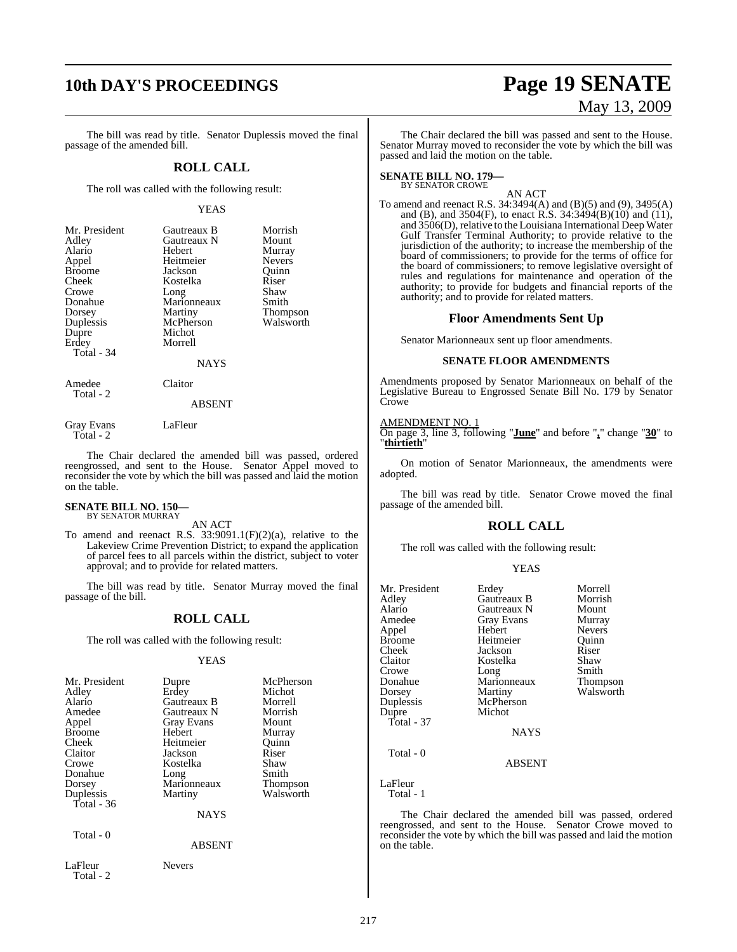# **10th DAY'S PROCEEDINGS Page 19 SENATE**

The bill was read by title. Senator Duplessis moved the final passage of the amended bill.

#### **ROLL CALL**

The roll was called with the following result:

#### YEAS

| Mr. President<br>Adley<br>Alario<br>Appel<br><b>Broome</b><br>Cheek<br>Crowe<br>Donahue<br>Dorsey<br>Duplessis<br>Dupre<br>Erdey<br>Total - 34 | Gautreaux B<br>Gautreaux N<br>Hebert<br>Heitmeier<br>Jackson<br>Kostelka<br>Long<br>Marionneaux<br>Martiny<br>McPherson<br>Michot<br>Morrell<br><b>NAYS</b> | Morrish<br>Mount<br>Murray<br><b>Nevers</b><br>Ouinn<br>Riser<br>Shaw<br>Smith<br>Thompson<br>Walsworth |
|------------------------------------------------------------------------------------------------------------------------------------------------|-------------------------------------------------------------------------------------------------------------------------------------------------------------|---------------------------------------------------------------------------------------------------------|
| Amedee<br>Total - 2                                                                                                                            | Claitor<br><b>ABSENT</b>                                                                                                                                    |                                                                                                         |

Gray Evans LaFleur

Total - 2

The Chair declared the amended bill was passed, ordered reengrossed, and sent to the House. Senator Appel moved to reconsider the vote by which the bill was passed and laid the motion on the table.

#### **SENATE BILL NO. 150—** BY SENATOR MURRAY

AN ACT

To amend and reenact R.S.  $33:9091.1(F)(2)(a)$ , relative to the Lakeview Crime Prevention District; to expand the application of parcel fees to all parcels within the district, subject to voter approval; and to provide for related matters.

The bill was read by title. Senator Murray moved the final passage of the bill.

### **ROLL CALL**

The roll was called with the following result:

#### YEAS

| Mr. President<br>Adley<br>Alario<br>Amedee<br>Appel<br><b>Broome</b><br>Cheek<br>Claitor<br>Crowe<br>Donahue<br>Dorsey<br>Duplessis<br>Total - $36$ | Dupre<br>Erdey<br>Gautreaux B<br>Gautreaux N<br><b>Gray Evans</b><br>Hebert<br>Heitmeier<br>Jackson<br>Kostelka<br>Long<br>Marionneaux<br>Martiny<br><b>NAYS</b> | McPherson<br>Michot<br>Morrell<br>Morrish<br>Mount<br>Murray<br>Quinn<br>Riser<br>Shaw<br>Smith<br>Thompson<br>Walsworth |
|-----------------------------------------------------------------------------------------------------------------------------------------------------|------------------------------------------------------------------------------------------------------------------------------------------------------------------|--------------------------------------------------------------------------------------------------------------------------|
| Total - 0                                                                                                                                           | <b>ABSENT</b>                                                                                                                                                    |                                                                                                                          |
| LaFleur                                                                                                                                             | Nevers                                                                                                                                                           |                                                                                                                          |

Total - 2

May 13, 2009

The Chair declared the bill was passed and sent to the House. Senator Murray moved to reconsider the vote by which the bill was passed and laid the motion on the table.

## **SENATE BILL NO. 179—** BY SENATOR CROWE

AN ACT

To amend and reenact R.S. 34:3494(A) and (B)(5) and (9), 3495(A) and (B), and 3504(F), to enact R.S.  $34:3494(B)(10)$  and (11), and 3506(D), relative to the Louisiana International Deep Water Gulf Transfer Terminal Authority; to provide relative to the jurisdiction of the authority; to increase the membership of the board of commissioners; to provide for the terms of office for the board of commissioners; to remove legislative oversight of rules and regulations for maintenance and operation of the authority; to provide for budgets and financial reports of the authority; and to provide for related matters.

#### **Floor Amendments Sent Up**

Senator Marionneaux sent up floor amendments.

#### **SENATE FLOOR AMENDMENTS**

Amendments proposed by Senator Marionneaux on behalf of the Legislative Bureau to Engrossed Senate Bill No. 179 by Senator Crowe

AMENDMENT NO. 1 On page 3, line 3, following "**June**" and before "**,**" change "**30**" to "**thirtieth**"

On motion of Senator Marionneaux, the amendments were adopted.

The bill was read by title. Senator Crowe moved the final passage of the amended bill.

#### **ROLL CALL**

The roll was called with the following result:

#### YEAS

| Adley<br>Alario<br>Gautreaux N<br>Mount<br>Amedee<br><b>Gray Evans</b><br>Murray<br>Hebert<br><b>Nevers</b><br>Appel<br>Heitmeier<br><b>Broome</b><br>Ouinn<br>Riser<br>Cheek<br>Jackson<br>Claitor<br>Shaw<br>Kostelka<br>Smith<br>Crowe<br>Long<br>Donahue<br>Marionneaux<br>Martiny<br>Dorsey<br>Duplessis<br>McPherson<br>Michot<br>Dupre<br>Total - $37$<br><b>NAYS</b> | Thompson<br>Walsworth |
|------------------------------------------------------------------------------------------------------------------------------------------------------------------------------------------------------------------------------------------------------------------------------------------------------------------------------------------------------------------------------|-----------------------|
| Total - 0<br>ABSENT                                                                                                                                                                                                                                                                                                                                                          |                       |

LaFleur Total - 1

The Chair declared the amended bill was passed, ordered reengrossed, and sent to the House. Senator Crowe moved to reconsider the vote by which the bill was passed and laid the motion on the table.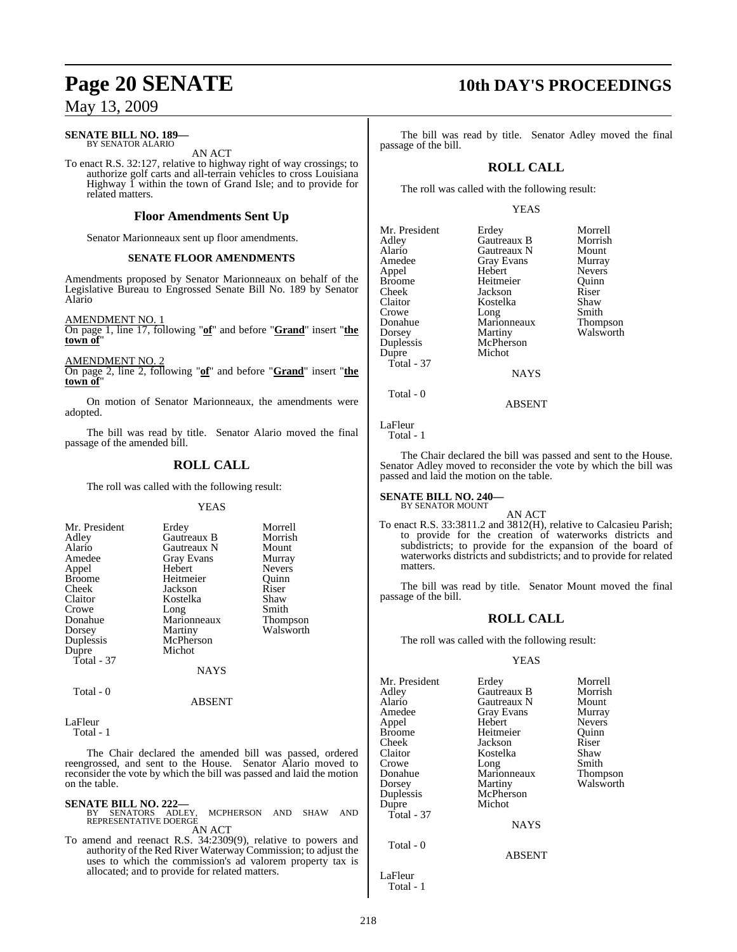#### **SENATE BILL NO. 189—** BY SENATOR ALARIO

AN ACT

To enact R.S. 32:127, relative to highway right of way crossings; to authorize golf carts and all-terrain vehicles to cross Louisiana Highway 1 within the town of Grand Isle; and to provide for related matters.

#### **Floor Amendments Sent Up**

Senator Marionneaux sent up floor amendments.

#### **SENATE FLOOR AMENDMENTS**

Amendments proposed by Senator Marionneaux on behalf of the Legislative Bureau to Engrossed Senate Bill No. 189 by Senator Alario

AMENDMENT NO. 1

On page 1, line 17, following "**of**" and before "**Grand**" insert "**the town of**"

AMENDMENT NO. 2

On page 2, line 2, following "**of**" and before "**Grand**" insert "**the town of**"

On motion of Senator Marionneaux, the amendments were adopted.

The bill was read by title. Senator Alario moved the final passage of the amended bill.

### **ROLL CALL**

The roll was called with the following result:

#### YEAS

| Mr. President | Erdey              | Morrell         |
|---------------|--------------------|-----------------|
| Adley         | Gautreaux B        | Morrish         |
| Alario        | <b>Gautreaux N</b> | Mount           |
| Amedee        | <b>Gray Evans</b>  | Murray          |
| Appel         | Hebert             | <b>Nevers</b>   |
| <b>Broome</b> | Heitmeier          | Ouinn           |
| Cheek         | Jackson            | Riser           |
| Claitor       | Kostelka           | Shaw            |
| Crowe         | Long               | Smith           |
| Donahue       | Marionneaux        | <b>Thompson</b> |
| Dorsey        | Martiny            | Walsworth       |
| Duplessis     | McPherson          |                 |
| Dupre         | Michot             |                 |
| Total - 37    |                    |                 |
|               | NAYS               |                 |

Total - 0

LaFleur

Total - 1

The Chair declared the amended bill was passed, ordered reengrossed, and sent to the House. Senator Alario moved to reconsider the vote by which the bill was passed and laid the motion on the table.

ABSENT

#### **SENATE BILL NO. 222—**

MCPHERSON AND SHAW AND REPRESENTATIVE DOERGE

AN ACT

To amend and reenact R.S. 34:2309(9), relative to powers and authority of the Red River Waterway Commission; to adjust the uses to which the commission's ad valorem property tax is allocated; and to provide for related matters.

## **Page 20 SENATE 10th DAY'S PROCEEDINGS**

The bill was read by title. Senator Adley moved the final passage of the bill.

### **ROLL CALL**

The roll was called with the following result:

Gray Evans<br>Hebert

Marionneaux<br>Martiny

McPherson Michot

#### YEAS

| Mr. President |
|---------------|
| Adley         |
| Alario        |
| Amedee        |
| Appel         |
| Broome        |
| Cheek         |
| Claitor       |
| Crowe         |
| Donahue       |
| Dorsey        |
| Duplessis     |
| Dupre         |
| Total - 37    |
|               |
|               |

Erdey Morrell<br>Gautreaux B Morrish Gautreaux B Morrisl<br>Gautreaux N Mount Gautreaux N Mount<br>Gray Evans Murray Nevers<br>Quinn Heitmeier Quinn<br>
Jackson Riser Jackson Riser<br>Kostelka Shaw Kostelka Shaw<br>Long Smith Long Smith<br>Marionneaux Thompson Walsworth

> **NAYS** ABSENT

LaFleur

Total - 0

Total - 1

The Chair declared the bill was passed and sent to the House. Senator Adley moved to reconsider the vote by which the bill was passed and laid the motion on the table.

**SENATE BILL NO. 240—** BY SENATOR MOUNT

#### AN ACT

To enact R.S. 33:3811.2 and 3812(H), relative to Calcasieu Parish; to provide for the creation of waterworks districts and subdistricts; to provide for the expansion of the board of waterworks districts and subdistricts; and to provide for related matters.

The bill was read by title. Senator Mount moved the final passage of the bill.

#### **ROLL CALL**

The roll was called with the following result:

#### YEAS

ABSENT

| Mr. President<br>Adley<br>Alario<br>Amedee<br>Appel<br>Broome<br>Cheek<br>Claitor<br>Crowe<br>Donahue<br>Dorsey<br>Duplessis<br>Dupre<br>Total - 37 | Erdey<br>Gautreaux B<br>Gautreaux N<br>Gray Evans<br>Hebert<br>Heitmeier<br>Jackson<br>Kostelka<br>Long<br>Marionneaux<br>Martiny<br>McPherson<br>Michot | Morrell<br>Morrish<br>Mount<br>Murray<br><b>Nevers</b><br>Ouinn<br>Riser<br>Shaw<br>Smith<br><b>Thompson</b><br>Walsworth |
|-----------------------------------------------------------------------------------------------------------------------------------------------------|----------------------------------------------------------------------------------------------------------------------------------------------------------|---------------------------------------------------------------------------------------------------------------------------|
|                                                                                                                                                     |                                                                                                                                                          |                                                                                                                           |
|                                                                                                                                                     | <b>NAYS</b>                                                                                                                                              |                                                                                                                           |
| Total - 0                                                                                                                                           |                                                                                                                                                          |                                                                                                                           |

LaFleur Total - 1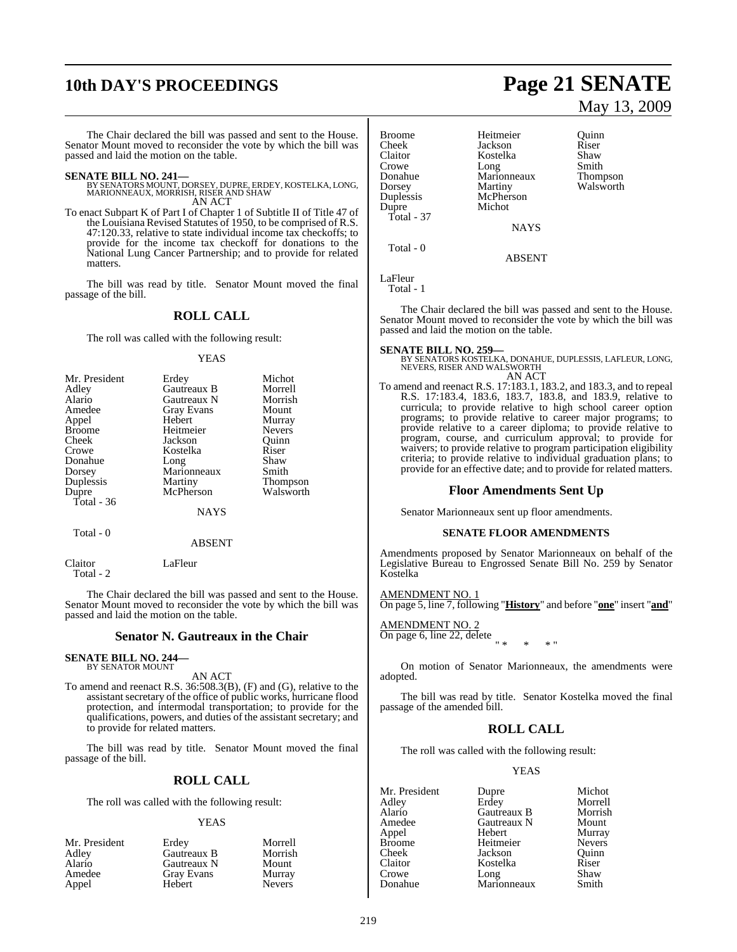# **10th DAY'S PROCEEDINGS Page 21 SENATE**

The Chair declared the bill was passed and sent to the House. Senator Mount moved to reconsider the vote by which the bill was passed and laid the motion on the table.

**SENATE BILL NO. 241—** BY SENATORS MOUNT, DORSEY, DUPRE, ERDEY, KOSTELKA, LONG, MARIONNEAUX, MORRISH, RISER AND SHAW AN ACT

To enact Subpart K of Part I of Chapter 1 of Subtitle II of Title 47 of the Louisiana Revised Statutes of 1950, to be comprised of R.S. 47:120.33, relative to state individual income tax checkoffs; to provide for the income tax checkoff for donations to the National Lung Cancer Partnership; and to provide for related matters.

The bill was read by title. Senator Mount moved the final passage of the bill.

#### **ROLL CALL**

The roll was called with the following result:

#### YEAS

| Mr. President | Erdey             | Michot          |
|---------------|-------------------|-----------------|
| Adley         | Gautreaux B       | Morrell         |
| Alario        | Gautreaux N       | Morrish         |
| Amedee        | <b>Gray Evans</b> | Mount           |
| Appel         | Hebert            | Murray          |
| <b>Broome</b> | Heitmeier         | <b>Nevers</b>   |
| Cheek         | Jackson           | Ouinn           |
| Crowe         | Kostelka          | Riser           |
| Donahue       | Long              | Shaw            |
| Dorsey        | Marionneaux       | Smith           |
| Duplessis     | Martiny           | <b>Thompson</b> |
| Dupre         | McPherson         | Walsworth       |
| Total - 36    |                   |                 |
|               | NAYS              |                 |

Total - 0

#### ABSENT

Claitor LaFleur Total - 2

The Chair declared the bill was passed and sent to the House. Senator Mount moved to reconsider the vote by which the bill was passed and laid the motion on the table.

#### **Senator N. Gautreaux in the Chair**

#### **SENATE BILL NO. 244—** BY SENATOR MOUNT

AN ACT

To amend and reenact R.S. 36:508.3(B), (F) and (G), relative to the assistant secretary of the office of public works, hurricane flood protection, and intermodal transportation; to provide for the qualifications, powers, and duties of the assistant secretary; and to provide for related matters.

The bill was read by title. Senator Mount moved the final passage of the bill.

#### **ROLL CALL**

The roll was called with the following result:

#### YEAS

| Mr. President | Erdev       | Morrell       |
|---------------|-------------|---------------|
| Adley         | Gautreaux B | Morrish       |
| Alario        | Gautreaux N | Mount         |
| Amedee        | Gray Evans  | Murray        |
| Appel         | Hebert      | <b>Nevers</b> |

# May 13, 2009

| <b>Broome</b><br>Cheek<br>Claitor<br>Crowe<br>Donahue<br>Dorsey<br>Duplessis<br>Dupre<br>Total - $37$ | Heitmeier<br>Jackson<br>Kostelka<br>Long<br>Marionneaux<br>Martiny<br>McPherson<br>Michot | Ouinn<br>Riser<br>Shaw<br>Smith<br><b>Thompson</b><br>Walsworth |
|-------------------------------------------------------------------------------------------------------|-------------------------------------------------------------------------------------------|-----------------------------------------------------------------|
|                                                                                                       | <b>NAYS</b>                                                                               |                                                                 |
| Total - 0                                                                                             |                                                                                           |                                                                 |

ABSENT

```
LaFleur
   Total - 1
```
The Chair declared the bill was passed and sent to the House. Senator Mount moved to reconsider the vote by which the bill was passed and laid the motion on the table.

#### **SENATE BILL NO. 259—**

BY SENATORS KOSTELKA, DONAHUE, DUPLESSIS, LAFLEUR, LONG, NEVERS, RISER AND WALSWORTH AN ACT

To amend and reenact R.S. 17:183.1, 183.2, and 183.3, and to repeal R.S. 17:183.4, 183.6, 183.7, 183.8, and 183.9, relative to curricula; to provide relative to high school career option programs; to provide relative to career major programs; to provide relative to a career diploma; to provide relative to program, course, and curriculum approval; to provide for waivers; to provide relative to program participation eligibility criteria; to provide relative to individual graduation plans; to provide for an effective date; and to provide for related matters.

#### **Floor Amendments Sent Up**

Senator Marionneaux sent up floor amendments.

#### **SENATE FLOOR AMENDMENTS**

Amendments proposed by Senator Marionneaux on behalf of the Legislative Bureau to Engrossed Senate Bill No. 259 by Senator Kostelka

### AMEND<u>MENT NO. 1</u>

On page 5, line 7, following "**History**" and before "**one**" insert "**and**"

AMENDMENT NO. 2 On page 6, line 22, delete " \* \* \* "

On motion of Senator Marionneaux, the amendments were adopted.

The bill was read by title. Senator Kostelka moved the final passage of the amended bill.

#### **ROLL CALL**

The roll was called with the following result:

#### YEAS

| Mr. President | Dupre       | Michot        |
|---------------|-------------|---------------|
| Adley         | Erdey       | Morrell       |
| Alario        | Gautreaux B | Morrish       |
| Amedee        | Gautreaux N | Mount         |
| Appel         | Hebert      | Murray        |
| <b>Broome</b> | Heitmeier   | <b>Nevers</b> |
| Cheek         | Jackson     | Ouinn         |
| Claitor       | Kostelka    | Riser         |
| Crowe         | Long        | Shaw          |
| Donahue       | Marionneaux | Smith         |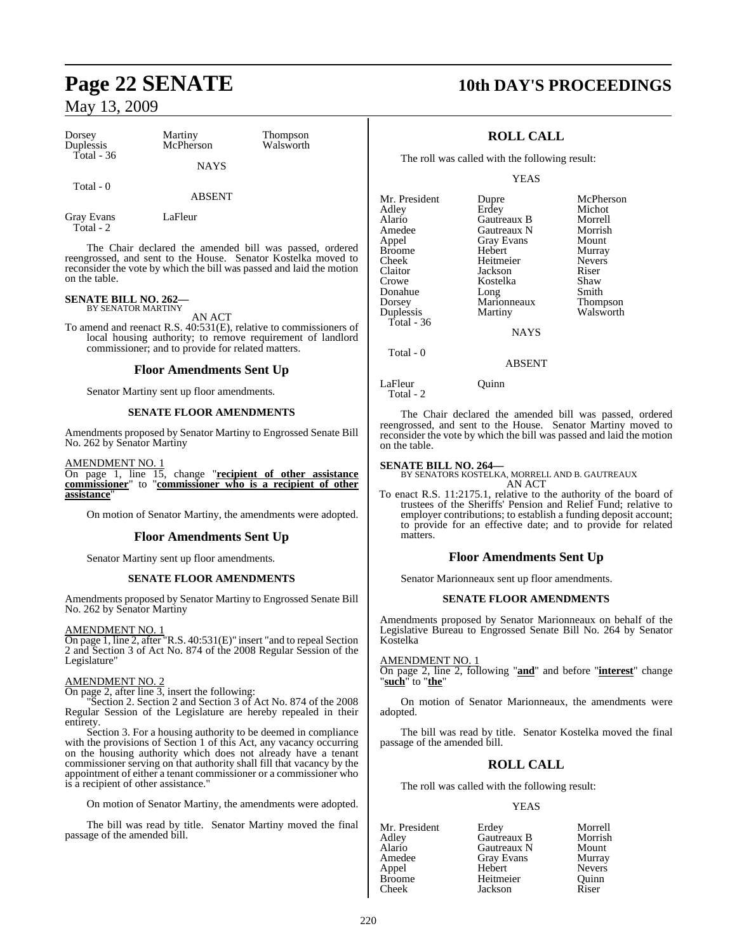| Dorsey<br>Duplessis<br>Total - $36$ | Martiny<br>McPherson | <b>Thompson</b><br>Walsworth |
|-------------------------------------|----------------------|------------------------------|
|                                     | <b>NAYS</b>          |                              |
| Total - 0                           | ABSENT               |                              |

Gray Evans LaFleur Total - 2

The Chair declared the amended bill was passed, ordered reengrossed, and sent to the House. Senator Kostelka moved to reconsider the vote by which the bill was passed and laid the motion on the table.

### **SENATE BILL NO. 262—** BY SENATOR MARTINY

AN ACT

To amend and reenact R.S. 40:531(E), relative to commissioners of local housing authority; to remove requirement of landlord commissioner; and to provide for related matters.

#### **Floor Amendments Sent Up**

Senator Martiny sent up floor amendments.

#### **SENATE FLOOR AMENDMENTS**

Amendments proposed by Senator Martiny to Engrossed Senate Bill No. 262 by Senator Martiny

AMENDMENT NO. 1

On page 1, line 15, change "**recipient of other assistance commissioner**" to "**commissioner who is a recipient of other assistance**"

On motion of Senator Martiny, the amendments were adopted.

#### **Floor Amendments Sent Up**

Senator Martiny sent up floor amendments.

#### **SENATE FLOOR AMENDMENTS**

Amendments proposed by Senator Martiny to Engrossed Senate Bill No. 262 by Senator Martiny

#### AMENDMENT NO. 1

On page 1, line 2, after "R.S. 40:531(E)" insert "and to repeal Section 2 and Section 3 of Act No. 874 of the 2008 Regular Session of the Legislature"

#### AMENDMENT NO. 2

On page 2, after line 3, insert the following:

"Section 2. Section 2 and Section 3 of Act No. 874 of the 2008 Regular Session of the Legislature are hereby repealed in their entirety.

Section 3. For a housing authority to be deemed in compliance with the provisions of Section 1 of this Act, any vacancy occurring on the housing authority which does not already have a tenant commissioner serving on that authority shall fill that vacancy by the appointment of either a tenant commissioner or a commissioner who is a recipient of other assistance."

On motion of Senator Martiny, the amendments were adopted.

The bill was read by title. Senator Martiny moved the final passage of the amended bill.

# **Page 22 SENATE 10th DAY'S PROCEEDINGS**

### **ROLL CALL**

The roll was called with the following result:

YEAS

| Mr. President | Dupre             | McPherson       |
|---------------|-------------------|-----------------|
| Adley         | Erdey             | Michot          |
| Alario        | Gautreaux B       | Morrell         |
| Amedee        | Gautreaux N       | Morrish         |
| Appel         | <b>Gray Evans</b> | Mount           |
| <b>Broome</b> | Hebert            | Murray          |
| Cheek         | Heitmeier         | <b>Nevers</b>   |
| Claitor       | Jackson           | Riser           |
| Crowe         | Kostelka          | Shaw            |
| Donahue       | Long              | Smith           |
| Dorsey        | Marionneaux       | <b>Thompson</b> |
| Duplessis     | Martiny           | Walsworth       |
| Total - $36$  |                   |                 |
|               | <b>NAYS</b>       |                 |
|               |                   |                 |

Total - 0

ABSENT

LaFleur Ouinn

Total - 2

The Chair declared the amended bill was passed, ordered reengrossed, and sent to the House. Senator Martiny moved to reconsider the vote by which the bill was passed and laid the motion on the table.

**SENATE BILL NO. 264—** BY SENATORS KOSTELKA, MORRELL AND B. GAUTREAUX AN ACT

To enact R.S. 11:2175.1, relative to the authority of the board of trustees of the Sheriffs' Pension and Relief Fund; relative to employer contributions; to establish a funding deposit account; to provide for an effective date; and to provide for related matters.

#### **Floor Amendments Sent Up**

Senator Marionneaux sent up floor amendments.

#### **SENATE FLOOR AMENDMENTS**

Amendments proposed by Senator Marionneaux on behalf of the Legislative Bureau to Engrossed Senate Bill No. 264 by Senator Kostelka

#### AMENDMENT NO. 1

On page 2, line 2, following "**and**" and before "**interest**" change "**such**" to "**the**"

On motion of Senator Marionneaux, the amendments were adopted.

The bill was read by title. Senator Kostelka moved the final passage of the amended bill.

#### **ROLL CALL**

The roll was called with the following result:

#### YEAS

| Mr. President | Erdey       | Morrell       |
|---------------|-------------|---------------|
| Adley         | Gautreaux B | Morrish       |
| Alario        | Gautreaux N | Mount         |
| Amedee        | Gray Evans  | Murray        |
| Appel         | Hebert      | <b>Nevers</b> |
| <b>Broome</b> | Heitmeier   | Ouinn         |
| Cheek         | Jackson     | Riser         |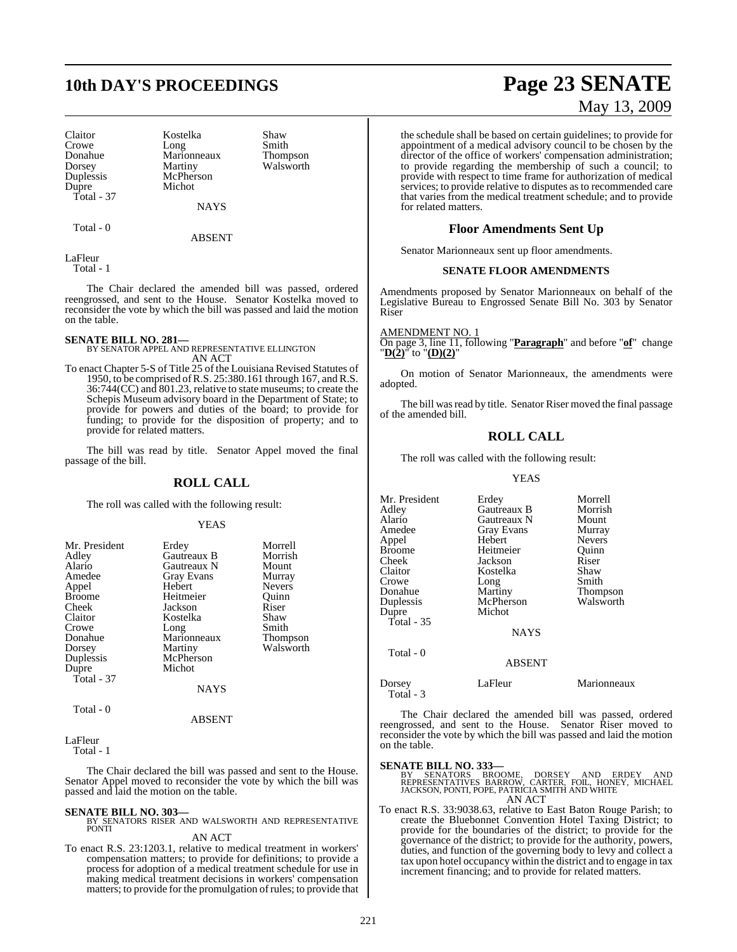# **10th DAY'S PROCEEDINGS Page 23 SENATE**

Donahue Marionneaux<br>Dorsey Martiny Dupre Michot Total - 37

Claitor **Kostelka** Shaw<br>Crowe Long Smith Crowe Long Smith<br>Donahue Marionneaux Thompson Dorsey Martiny Walsworth<br>
Duplessis McPherson McPherson

Total - 0

ABSENT

**NAYS** 

LaFleur Total - 1

The Chair declared the amended bill was passed, ordered reengrossed, and sent to the House. Senator Kostelka moved to reconsider the vote by which the bill was passed and laid the motion on the table.

**SENATE BILL NO. 281—** BY SENATOR APPEL AND REPRESENTATIVE ELLINGTON AN ACT

To enact Chapter 5-S of Title 25 of the Louisiana Revised Statutes of 1950, to be comprised ofR.S. 25:380.161 through 167, and R.S. 36:744(CC) and 801.23, relative to state museums; to create the Schepis Museum advisory board in the Department of State; to provide for powers and duties of the board; to provide for funding; to provide for the disposition of property; and to provide for related matters.

The bill was read by title. Senator Appel moved the final passage of the bill.

#### **ROLL CALL**

The roll was called with the following result:

#### YEAS

| Mr. President |             | Morrell       |
|---------------|-------------|---------------|
|               | Erdey       |               |
| Adley         | Gautreaux B | Morrish       |
| Alario        | Gautreaux N | Mount         |
| Amedee        | Gray Evans  | Murray        |
| Appel         | Hebert      | <b>Nevers</b> |
| <b>Broome</b> | Heitmeier   | Quinn         |
| Cheek         | Jackson     | Riser         |
| Claitor       | Kostelka    | Shaw          |
| Crowe         | Long        | Smith         |
| Donahue       | Marionneaux | Thompson      |
| Dorsey        | Martiny     | Walsworth     |
| Duplessis     | McPherson   |               |
| Dupre         | Michot      |               |
| Total $-37$   |             |               |
|               | NAYS        |               |
| Total - 0     |             |               |

#### ABSENT

LaFleur

Total - 1

The Chair declared the bill was passed and sent to the House. Senator Appel moved to reconsider the vote by which the bill was passed and laid the motion on the table.

#### **SENATE BILL NO. 303—**

BY SENATORS RISER AND WALSWORTH AND REPRESENTATIVE PONTI

### AN ACT

To enact R.S. 23:1203.1, relative to medical treatment in workers' compensation matters; to provide for definitions; to provide a process for adoption of a medical treatment schedule for use in making medical treatment decisions in workers' compensation matters; to provide for the promulgation of rules; to provide that

# May 13, 2009

the schedule shall be based on certain guidelines; to provide for appointment of a medical advisory council to be chosen by the director of the office of workers' compensation administration; to provide regarding the membership of such a council; to provide with respect to time frame for authorization of medical services; to provide relative to disputes as to recommended care that varies from the medical treatment schedule; and to provide for related matters.

### **Floor Amendments Sent Up**

Senator Marionneaux sent up floor amendments.

#### **SENATE FLOOR AMENDMENTS**

Amendments proposed by Senator Marionneaux on behalf of the Legislative Bureau to Engrossed Senate Bill No. 303 by Senator Riser

AMENDMENT NO. 1

On page 3, line 11, following "**Paragraph**" and before "**of**" change "**D(2)**" to "**(D)(2)**"

On motion of Senator Marionneaux, the amendments were adopted.

The bill was read by title. Senator Riser moved the final passage of the amended bill.

### **ROLL CALL**

The roll was called with the following result:

YEAS

Mr. President Erdey Morrell<br>Adley Gautreaux B Morrish Adley Gautreaux B Morrish Alario Gautreaux N Mount Gray Evans Murray<br>
Hebert Nevers Appel Hebert Nevers Broome Heitmeier Quinn<br>Cheek Jackson Riser Cheek Jackson Riser Claitor Kostelka Shaw Crowe Long<br>
Donahue Martiny Donahue Martiny Thompson<br>
Duplessis McPherson Walsworth Duplessis McPherson<br>
Dupre Michot Michot Total - 35 NAYS Total - 0 ABSENT Dorsey LaFleur Marionneaux

Total - 3

The Chair declared the amended bill was passed, ordered reengrossed, and sent to the House. Senator Riser moved to reconsider the vote by which the bill was passed and laid the motion on the table.

**SENATE BILL NO. 333—**<br>BY SENATORS BROOME, DORSEY AND ERDEY AND<br>REPRESENTATIVES BARROW, CARTER, FOIL, HONEY, MICHAEL<br>JACKSON, PONTI, POPE, PATRICIA SMITH AND WHITE AN ACT

To enact R.S. 33:9038.63, relative to East Baton Rouge Parish; to create the Bluebonnet Convention Hotel Taxing District; to provide for the boundaries of the district; to provide for the governance of the district; to provide for the authority, powers, duties, and function of the governing body to levy and collect a tax upon hotel occupancy within the district and to engage in tax increment financing; and to provide for related matters.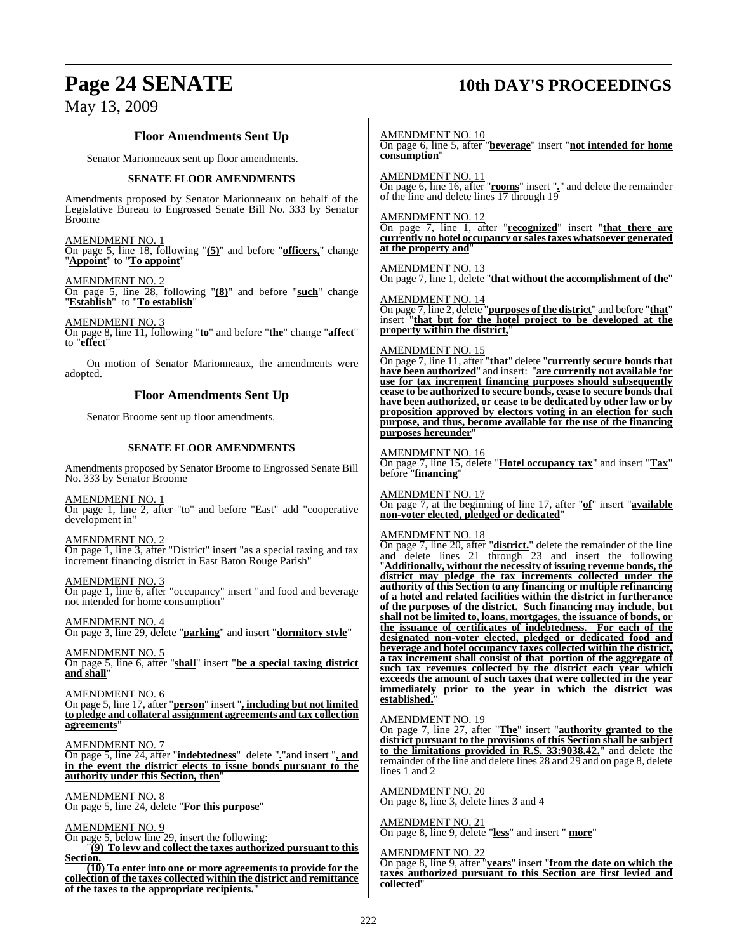## **Page 24 SENATE 10th DAY'S PROCEEDINGS**

### **Floor Amendments Sent Up**

Senator Marionneaux sent up floor amendments.

#### **SENATE FLOOR AMENDMENTS**

Amendments proposed by Senator Marionneaux on behalf of the Legislative Bureau to Engrossed Senate Bill No. 333 by Senator Broome

AMENDMENT NO. 1 On page 5, line 18, following "**(5)**" and before "**officers,**" change

"**Appoint**" to "**To appoint**"

AMENDMENT NO. 2 On page 5, line 28, following "**(8)**" and before "**such**" change

"**Establish**" to "**To establish**"

AMENDMENT NO. 3 On page 8, line 11, following "**to**" and before "**the**" change "**affect**" to "**effect**"

On motion of Senator Marionneaux, the amendments were adopted.

### **Floor Amendments Sent Up**

Senator Broome sent up floor amendments.

#### **SENATE FLOOR AMENDMENTS**

Amendments proposed by Senator Broome to Engrossed Senate Bill No. 333 by Senator Broome

AMENDMENT NO. 1

On page 1, line 2, after "to" and before "East" add "cooperative development in"

AMENDMENT NO. 2

On page 1, line 3, after "District" insert "as a special taxing and tax increment financing district in East Baton Rouge Parish"

#### AMENDMENT NO. 3

On page 1, line 6, after "occupancy" insert "and food and beverage not intended for home consumption"

#### AMENDMENT NO. 4

On page 3, line 29, delete "**parking**" and insert "**dormitory style**"

AMENDMENT NO. 5

On page 5, line 6, after "**shall**" insert "**be a special taxing district and shall**"

AMENDMENT NO. 6

On page 5, line 17, after "**person**" insert "**, including but not limited to pledge and collateral assignment agreements and tax collection agreements**"

#### AMENDMENT NO. 7

On page 5, line 24, after "**indebtedness**" delete "**.**"and insert "**, and in the event the district elects to issue bonds pursuant to the authority under this Section, then**"

#### AMENDMENT NO. 8

On page 5, line 24, delete "**For this purpose**"

AMENDMENT NO. 9 On page 5, below line 29, insert the following:

"**(9) To levy and collect the taxes authorized pursuant to this Section.**

**(10) To enter into one or more agreements to provide for the collection of the taxes collected within the district and remittance of the taxes to the appropriate recipients.**"

AMENDMENT NO. 10 On page 6, line 5, after "**beverage**" insert "**not intended for home consumption**"

AMENDMENT NO. 11 On page 6, line 16, after "**rooms**" insert "**.**" and delete the remainder of the line and delete lines 17 through 19

AMENDMENT NO. 12 On page 7, line 1, after "**recognized**" insert "**that there are currently no hotel occupancy or salestaxes whatsoever generated at the property and**"

AMENDMENT NO. 13 On page 7, line 1, delete "**that without the accomplishment of the**"

AMENDMENT NO. 14 On page 7, line 2, delete "**purposes of the district**" and before "**that**" insert "**that but for the hotel project to be developed at the property within the district,**"

#### AMENDMENT NO. 15

On page 7, line 11, after "**that**" delete "**currently secure bonds that have been authorized**" and insert: "**are currently not available for use for tax increment financing purposes should subsequently cease to be authorized to secure bonds, cease to secure bonds that have been authorized, or cease to be dedicated by other law or by proposition approved by electors voting in an election for such purpose, and thus, become available for the use of the financing purposes hereunder**"

#### AMENDMENT NO. 16

On page 7, line 15, delete "**Hotel occupancy tax**" and insert "**Tax**" before "**financing**"

AMENDMENT NO. 17 On page 7, at the beginning of line 17, after "**of**" insert "**available non-voter elected, pledged or dedicated**"

#### AMENDMENT NO. 18

On page 7, line 20, after "**district.**" delete the remainder of the line and delete lines 21 through 23 and insert the following "**Additionally, without the necessity of issuing revenue bonds, the district may pledge the tax increments collected under the authority of this Section to any financing or multiple refinancing of a hotel and related facilities within the district in furtherance of the purposes of the district. Such financing may include, but shall not be limited to, loans, mortgages, the issuance of bonds, or the issuance of certificates of indebtedness. For each of the designated non-voter elected, pledged or dedicated food and beverage and hotel occupancy taxes collected within the district, a tax increment shall consist of that portion of the aggregate of such tax revenues collected by the district each year which exceeds the amount of such taxes that were collected in the year immediately prior to the year in which the district was established.**"

AMENDMENT NO. 19

On page 7, line 27, after "**The**" insert "**authority granted to the district pursuant to the provisions of this Section shall be subject to the limitations provided in R.S. 33:9038.42.**" and delete the remainder of the line and delete lines 28 and 29 and on page 8, delete lines 1 and 2

AMENDMENT NO. 20 On page 8, line 3, delete lines 3 and 4

AMENDMENT NO. 21 On page 8, line 9, delete "**less**" and insert " **more**"

#### AMENDMENT NO. 22

On page 8, line 9, after "**years**" insert "**from the date on which the taxes authorized pursuant to this Section are first levied and collected**"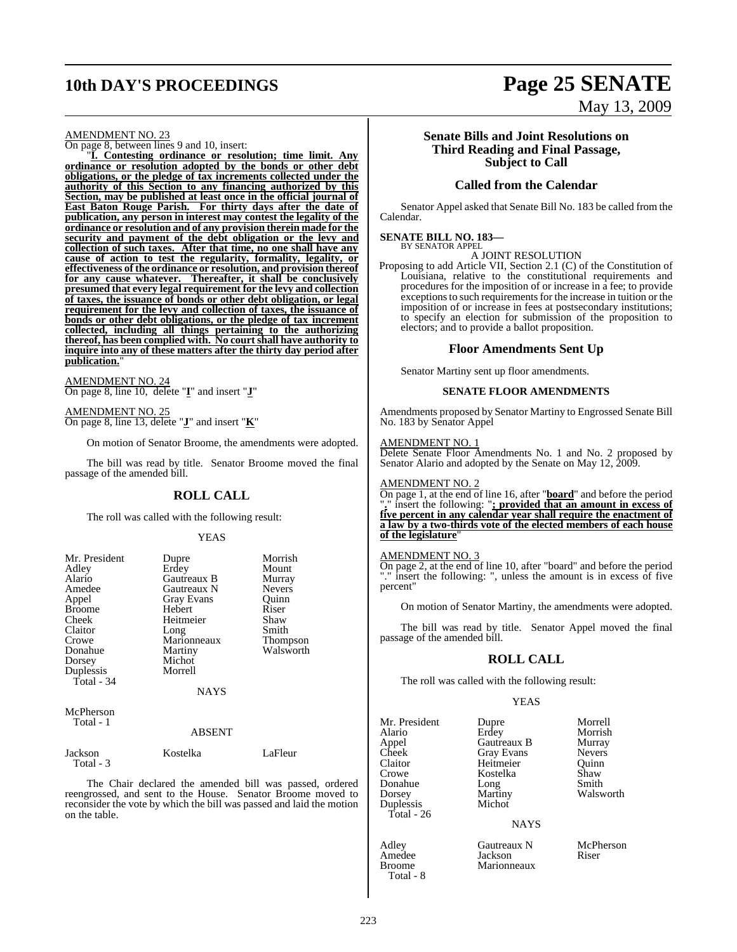# **10th DAY'S PROCEEDINGS Page 25 SENATE**

#### AMENDMENT NO. 23

On page 8, between lines 9 and 10, insert:

"**I. Contesting ordinance or resolution; time limit. Any ordinance or resolution adopted by the bonds or other debt obligations, or the pledge of tax increments collected under the authority of this Section to any financing authorized by this Section, may be published at least once in the official journal of East Baton Rouge Parish. For thirty days after the date of publication, any person in interest may contest the legality of the ordinance or resolution and of any provision therein made for the security and payment of the debt obligation or the levy and collection of such taxes. After that time, no one shall have any cause of action to test the regularity, formality, legality, or effectiveness of the ordinance or resolution, and provision thereof for any cause whatever. Thereafter, it shall be conclusively presumed that every legal requirement for the levy and collection of taxes, the issuance of bonds or other debt obligation, or legal requirement for the levy and collection of taxes, the issuance of bonds or other debt obligations, or the pledge of tax increment collected, including all things pertaining to the authorizing thereof, has been complied with. No court shall have authority to inquire into any of these matters after the thirty day period after** publication.

AMENDMENT NO. 24 On page 8, line 10, delete "**I**" and insert "**J**"

AMENDMENT NO. 25 On page 8, line 13, delete "**J**" and insert "**K**"

On motion of Senator Broome, the amendments were adopted.

The bill was read by title. Senator Broome moved the final passage of the amended bill.

#### **ROLL CALL**

The roll was called with the following result:

#### YEAS

| Mr. President<br>Adley<br>Alario<br>Amedee<br>Appel<br><b>Broome</b><br>Cheek<br>Claitor<br>Crowe<br>Donahue<br>Dorsey<br>Duplessis<br>Total - 34 | Dupre<br>Erdey<br>Gautreaux B<br>Gautreaux N<br><b>Gray Evans</b><br>Hebert<br>Heitmeier<br>Long<br>Marionneaux<br>Martiny<br>Michot<br>Morrell<br><b>NAYS</b> | Morrish<br>Mount<br>Murray<br><b>Nevers</b><br>Ouinn<br>Riser<br>Shaw<br>Smith<br>Thompson<br>Walsworth |
|---------------------------------------------------------------------------------------------------------------------------------------------------|----------------------------------------------------------------------------------------------------------------------------------------------------------------|---------------------------------------------------------------------------------------------------------|
|                                                                                                                                                   |                                                                                                                                                                |                                                                                                         |
| <b>A</b> <i>F</i> <b>D</b> <sub>1</sub>                                                                                                           |                                                                                                                                                                |                                                                                                         |

McPherson Total - 1

#### ABSENT

Jackson Kostelka LaFleur Total - 3

The Chair declared the amended bill was passed, ordered reengrossed, and sent to the House. Senator Broome moved to reconsider the vote by which the bill was passed and laid the motion on the table.

# May 13, 2009

#### **Senate Bills and Joint Resolutions on Third Reading and Final Passage, Subject to Call**

#### **Called from the Calendar**

Senator Appel asked that Senate Bill No. 183 be called from the Calendar.

#### **SENATE BILL NO. 183—** BY SENATOR APPEL

#### A JOINT RESOLUTION

Proposing to add Article VII, Section 2.1 (C) of the Constitution of Louisiana, relative to the constitutional requirements and procedures for the imposition of or increase in a fee; to provide exceptions to such requirements for the increase in tuition or the imposition of or increase in fees at postsecondary institutions; to specify an election for submission of the proposition to electors; and to provide a ballot proposition.

#### **Floor Amendments Sent Up**

Senator Martiny sent up floor amendments.

#### **SENATE FLOOR AMENDMENTS**

Amendments proposed by Senator Martiny to Engrossed Senate Bill No. 183 by Senator Appel

#### AMENDMENT NO. 1

Delete Senate Floor Amendments No. 1 and No. 2 proposed by Senator Alario and adopted by the Senate on May 12, 2009.

#### AMENDMENT NO. 2

On page 1, at the end of line 16, after "**board**" and before the period "**.**" insert the following: "**; provided that an amount in excess of five percent in any calendar year shall require the enactment of a law by a two-thirds vote of the elected members of each house of the legislature**"

#### AMENDMENT NO. 3

On page 2, at the end of line 10, after "board" and before the period "." insert the following: ", unless the amount is in excess of five percent"

On motion of Senator Martiny, the amendments were adopted.

The bill was read by title. Senator Appel moved the final passage of the amended bill.

#### **ROLL CALL**

The roll was called with the following result:

#### YEAS

Mr. President Dupre Morrell<br>Alario Erdey Morrish Alario Erdey Morrish<br>
Appel Gautreaux B Murray<br>
Cheek Gray Evans Nevers Cheek Gray Evans<br>Claitor Heitmeier Claitor Heitmeier Quinn<br>Crowe Kostelka Shaw Donahue Long<br>Dorsey Martiny Duplessis Total - 26

Amedee Jackson<br>Broome Marionn Total - 8

**Gautreaux B** Murray<br> **Grav Evans** Nevers Kostelka Shaw<br>Long Smith Martiny Walsworth<br>Michot

#### **NAYS**

Adley Gautreaux N McPherson<br>Amedee Jackson Riser Marionneaux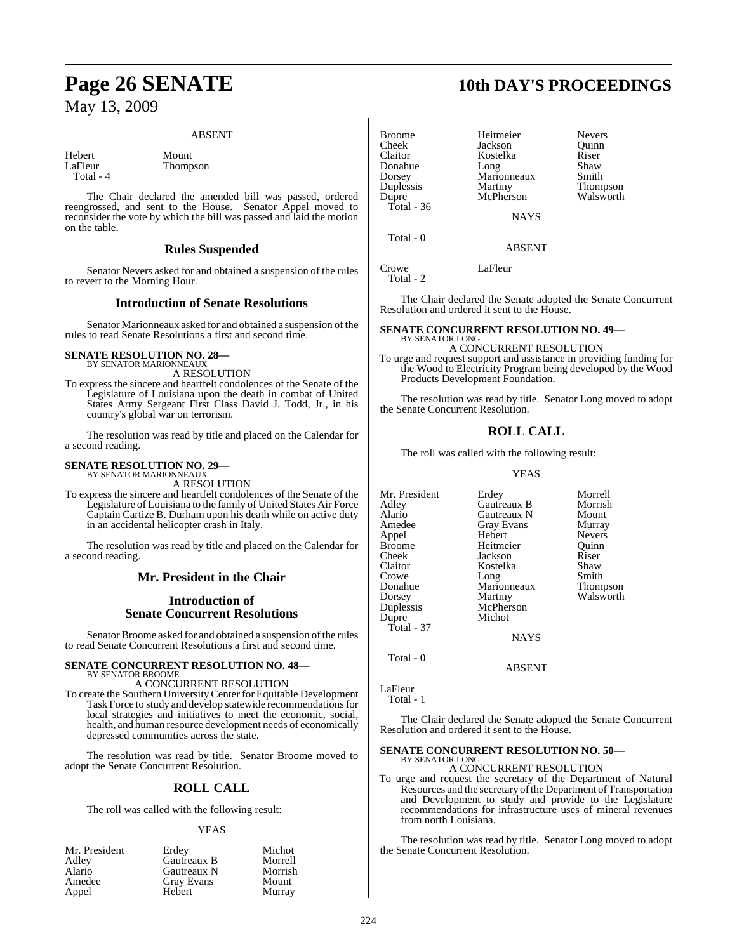#### ABSENT

Hebert Mount<br>LaFleur Thomn Total - 4

Thompson

The Chair declared the amended bill was passed, ordered reengrossed, and sent to the House. Senator Appel moved to reconsider the vote by which the bill was passed and laid the motion on the table.

### **Rules Suspended**

Senator Nevers asked for and obtained a suspension of the rules to revert to the Morning Hour.

#### **Introduction of Senate Resolutions**

Senator Marionneaux asked for and obtained a suspension of the rules to read Senate Resolutions a first and second time.

### **SENATE RESOLUTION NO. 28—**

BY SENATOR MARIONNEAUX A RESOLUTION

To express the sincere and heartfelt condolences of the Senate of the Legislature of Louisiana upon the death in combat of United States Army Sergeant First Class David J. Todd, Jr., in his country's global war on terrorism.

The resolution was read by title and placed on the Calendar for a second reading.

#### **SENATE RESOLUTION NO. 29—** BY SENATOR MARIONNEAUX

A RESOLUTION

To express the sincere and heartfelt condolences of the Senate of the Legislature of Louisiana to the family of United States Air Force Captain Cartize B. Durham upon his death while on active duty in an accidental helicopter crash in Italy.

The resolution was read by title and placed on the Calendar for a second reading.

### **Mr. President in the Chair**

### **Introduction of Senate Concurrent Resolutions**

Senator Broome asked for and obtained a suspension of the rules to read Senate Concurrent Resolutions a first and second time.

#### **SENATE CONCURRENT RESOLUTION NO. 48—** BY SENATOR BROOME

A CONCURRENT RESOLUTION

To create the Southern UniversityCenter for Equitable Development Task Force to study and develop statewide recommendations for local strategies and initiatives to meet the economic, social, health, and human resource development needs of economically depressed communities across the state.

The resolution was read by title. Senator Broome moved to adopt the Senate Concurrent Resolution.

### **ROLL CALL**

The roll was called with the following result:

#### YEAS

| Mr. President | Erdey       | Michot  |
|---------------|-------------|---------|
| Adley         | Gautreaux B | Morrell |
| Alario        | Gautreaux N | Morrish |
| Amedee        | Gray Evans  | Mount   |
| Appel         | Hebert      | Murray  |

# **Page 26 SENATE 10th DAY'S PROCEEDINGS**

| <b>Broome</b><br><b>Cheek</b><br>Claitor<br>Donahue<br>Dorsey<br>Duplessis<br>Dupre<br>Total - $36$ | Heitmeier<br>Jackson<br>Kostelka<br>Long<br>Marionneaux<br>Martiny<br>McPherson | <b>Nevers</b><br>Ouinn<br>Riser<br>Shaw<br>Smith<br>Thompson<br>Walsworth |
|-----------------------------------------------------------------------------------------------------|---------------------------------------------------------------------------------|---------------------------------------------------------------------------|
|                                                                                                     | <b>NAYS</b>                                                                     |                                                                           |
| Total - 0                                                                                           |                                                                                 |                                                                           |

ABSENT

Crowe LaFleur Total - 2

The Chair declared the Senate adopted the Senate Concurrent Resolution and ordered it sent to the House.

#### **SENATE CONCURRENT RESOLUTION NO. 49—** BY SENATOR LONG

A CONCURRENT RESOLUTION

To urge and request support and assistance in providing funding for the Wood to Electricity Program being developed by the Wood Products Development Foundation.

The resolution was read by title. Senator Long moved to adopt the Senate Concurrent Resolution.

### **ROLL CALL**

The roll was called with the following result:

YEAS

| Mr. President<br>Adlev<br>Alario<br>Amedee<br>Appel<br>Broome<br>Cheek<br>Claitor<br>Crowe<br>Donahue<br>Dorsey<br>Duplessis<br>Dupre | Erdey<br>Gautreaux B<br>Gautreaux N<br><b>Gray Evans</b><br>Hebert<br>Heitmeier<br>Jackson<br>Kostelka<br>Long<br>Marionneaux<br>Martiny<br>McPherson<br>Michot | Morrell<br>Morrish<br>Mount<br>Murray<br><b>Nevers</b><br>Ouinn<br>Riser<br>Shaw<br>Smith<br><b>Thompson</b><br>Walsworth |
|---------------------------------------------------------------------------------------------------------------------------------------|-----------------------------------------------------------------------------------------------------------------------------------------------------------------|---------------------------------------------------------------------------------------------------------------------------|
| Total - 37                                                                                                                            | <b>NAYS</b>                                                                                                                                                     |                                                                                                                           |
|                                                                                                                                       |                                                                                                                                                                 |                                                                                                                           |

Total - 0

LaFleur

Total - 1

The Chair declared the Senate adopted the Senate Concurrent Resolution and ordered it sent to the House.

ABSENT

#### **SENATE CONCURRENT RESOLUTION NO. 50—** BY SENATOR LONG

A CONCURRENT RESOLUTION

To urge and request the secretary of the Department of Natural Resources and the secretary of the Department of Transportation and Development to study and provide to the Legislature recommendations for infrastructure uses of mineral revenues from north Louisiana.

The resolution was read by title. Senator Long moved to adopt the Senate Concurrent Resolution.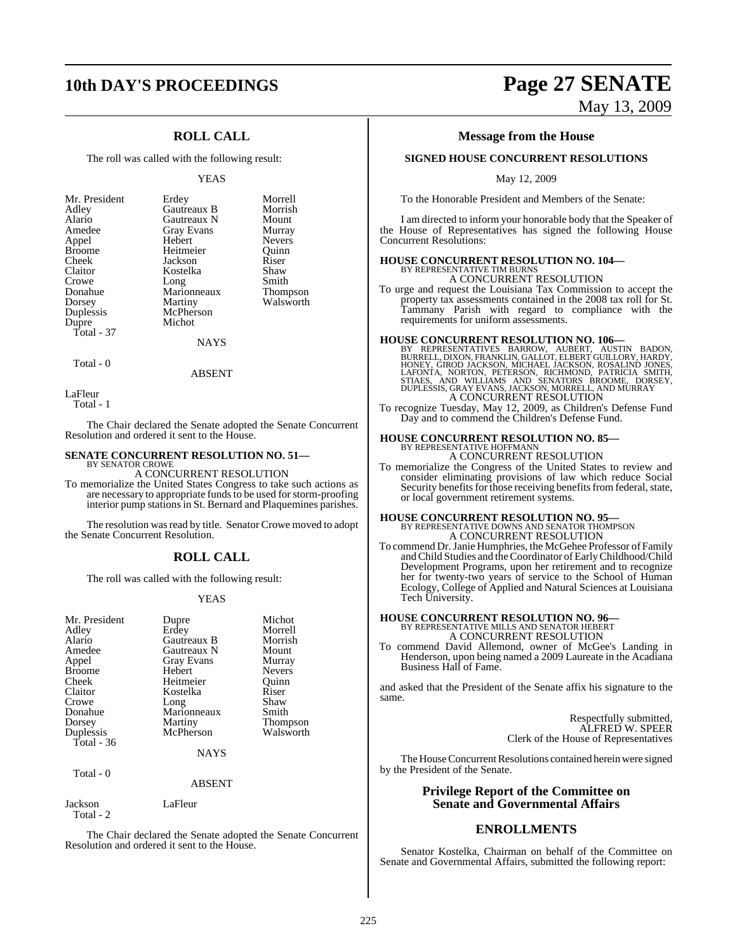## **10th DAY'S PROCEEDINGS Page 27 SENATE**

### **ROLL CALL**

The roll was called with the following result:

#### YEAS

| Mr. President | Erdey       | Morrell       |
|---------------|-------------|---------------|
| Adley         | Gautreaux B | Morrish       |
| Alario        | Gautreaux N | Mount         |
| Amedee        | Gray Evans  | Murray        |
| Appel         | Hebert      | <b>Nevers</b> |
| <b>Broome</b> | Heitmeier   | Ouinn         |
| Cheek         | Jackson     | Riser         |
| Claitor       | Kostelka    | Shaw          |
| Crowe         | Long        | Smith         |
| Donahue       | Marionneaux | Thompson      |
| Dorsey        | Martiny     | Walsworth     |
| Duplessis     | McPherson   |               |
| Dupre         | Michot      |               |
| Total - 37    |             |               |
|               | NAYS        |               |

Total - 0

ABSENT

LaFleur

Total - 1

The Chair declared the Senate adopted the Senate Concurrent Resolution and ordered it sent to the House.

#### **SENATE CONCURRENT RESOLUTION NO. 51—** BY SENATOR CROWE

#### A CONCURRENT RESOLUTION

To memorialize the United States Congress to take such actions as are necessary to appropriate funds to be used for storm-proofing interior pump stations in St. Bernard and Plaquemines parishes.

The resolution was read by title. Senator Crowe moved to adopt the Senate Concurrent Resolution.

#### **ROLL CALL**

The roll was called with the following result:

#### YEAS

| Mr. President | Dupre             | Michot          |
|---------------|-------------------|-----------------|
| Adley         | Erdey             | Morrell         |
| Alario        | Gautreaux B       | Morrish         |
| Amedee        | Gautreaux N       | Mount           |
| Appel         | <b>Gray Evans</b> | Murray          |
| <b>Broome</b> | Hebert            | <b>Nevers</b>   |
| Cheek         | Heitmeier         | Ouinn           |
| Claitor       | Kostelka          | Riser           |
| Crowe         | Long              | Shaw            |
| Donahue       | Marionneaux       | Smith           |
| Dorsey        | Martiny           | <b>Thompson</b> |
| Duplessis     | McPherson         | Walsworth       |
| Total - 36    |                   |                 |
|               | <b>NAYS</b>       |                 |

Total - 0

#### ABSENT

Jackson LaFleur Total - 2

The Chair declared the Senate adopted the Senate Concurrent Resolution and ordered it sent to the House.

# May 13, 2009

#### **Message from the House**

#### **SIGNED HOUSE CONCURRENT RESOLUTIONS**

May 12, 2009

To the Honorable President and Members of the Senate:

I am directed to inform your honorable body that the Speaker of the House of Representatives has signed the following House Concurrent Resolutions:

#### **HOUSE CONCURRENT RESOLUTION NO. 104—**

BY REPRESENTATIVE TIM BURNS A CONCURRENT RESOLUTION

To urge and request the Louisiana Tax Commission to accept the property tax assessments contained in the 2008 tax roll for St. Tammany Parish with regard to compliance with the requirements for uniform assessments.

**HOUSE CONCURRENT RESOLUTION NO. 106—**<br>BY REPRESENTATIVES BARROW, AUBERT, AUSTIN BADON, EURRELL, DIXON, FRANKLIN, GALLOT, ELBERT GUILLORY, HARDY,<br>HONEY, GIROD JACKSON, MICHAEL JACKSON, ROSALIND JONES, LAFONTA, NORTON, PETE

To recognize Tuesday, May 12, 2009, as Children's Defense Fund Day and to commend the Children's Defense Fund.

### **HOUSE CONCURRENT RESOLUTION NO. 85—** BY REPRESENTATIVE HOFFMANN

A CONCURRENT RESOLUTION

To memorialize the Congress of the United States to review and consider eliminating provisions of law which reduce Social Security benefits for those receiving benefits from federal, state, or local government retirement systems.

# **HOUSE CONCURRENT RESOLUTION NO. 95—**<br>BY REPRESENTATIVE DOWNS AND SENATOR THOMPSON A CONCURRENT RESOLUTION

To commend Dr.Janie Humphries, the McGehee Professor of Family andChild Studies and the Coordinator of Early Childhood/Child Development Programs, upon her retirement and to recognize her for twenty-two years of service to the School of Human Ecology, College of Applied and Natural Sciences at Louisiana Tech University.

# **HOUSE CONCURRENT RESOLUTION NO. 96—**<br>BY REPRESENTATIVE MILLS AND SENATOR HEBERT<br>A CONCURRENT RESOLUTION

To commend David Allemond, owner of McGee's Landing in Henderson, upon being named a 2009 Laureate in the Acadiana Business Hall of Fame.

and asked that the President of the Senate affix his signature to the same.

> Respectfully submitted, ALFRED W. SPEER Clerk of the House of Representatives

The House Concurrent Resolutions contained herein were signed by the President of the Senate.

#### **Privilege Report of the Committee on Senate and Governmental Affairs**

### **ENROLLMENTS**

Senator Kostelka, Chairman on behalf of the Committee on Senate and Governmental Affairs, submitted the following report: